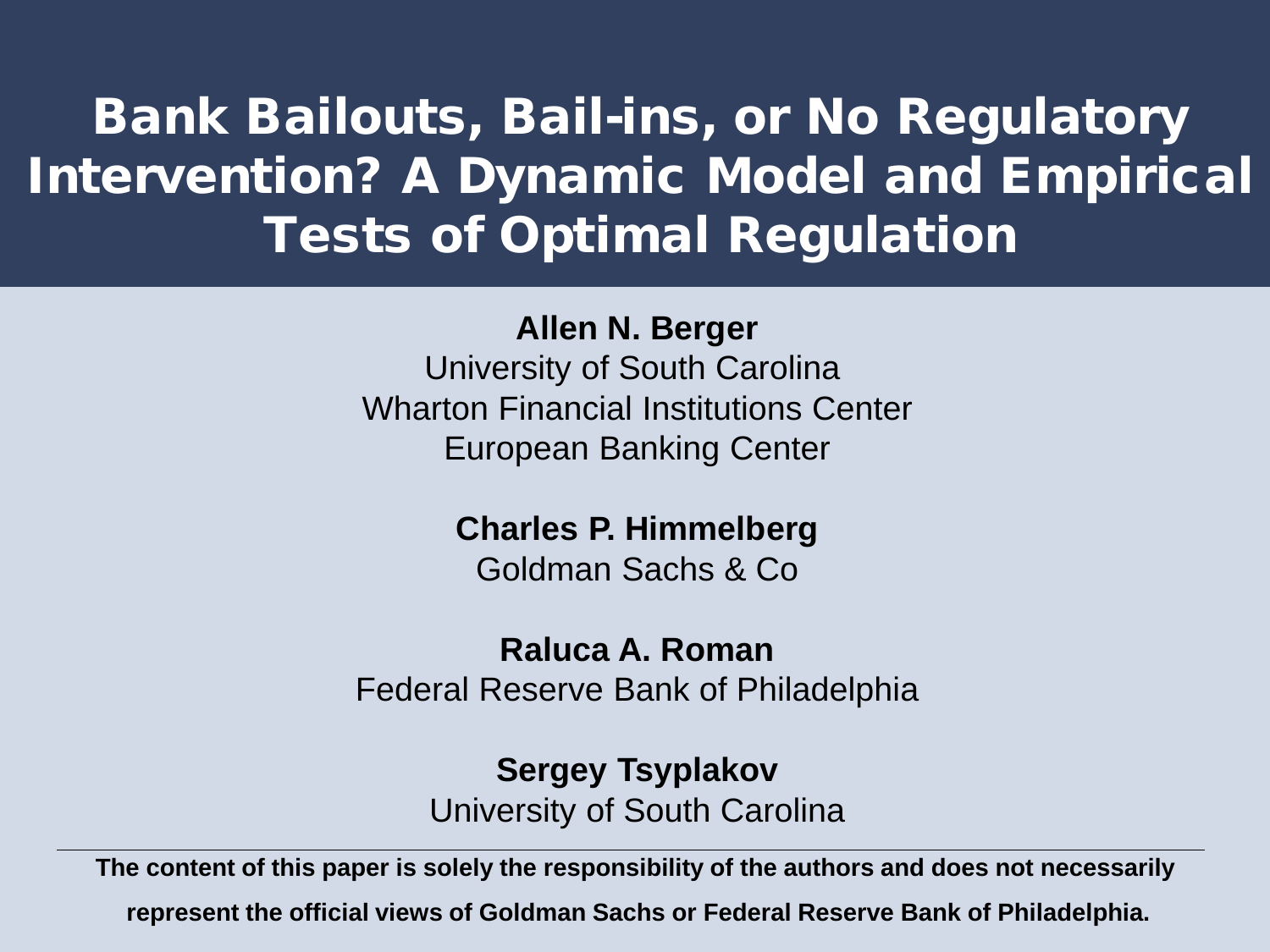#### Bank Bailouts, Bail-ins, or No Regulatory Intervention? A Dynamic Model and Empirical Tests of Optimal Regulation

#### **Allen N. Berger**

University of South Carolina Wharton Financial Institutions Center European Banking Center

**Charles P. Himmelberg**

Goldman Sachs & Co

**Raluca A. Roman**

Federal Reserve Bank of Philadelphia

**Sergey Tsyplakov** University of South Carolina

**The content of this paper is solely the responsibility of the authors and does not necessarily**

**represent the official views of Goldman Sachs or Federal Reserve Bank of Philadelphia.**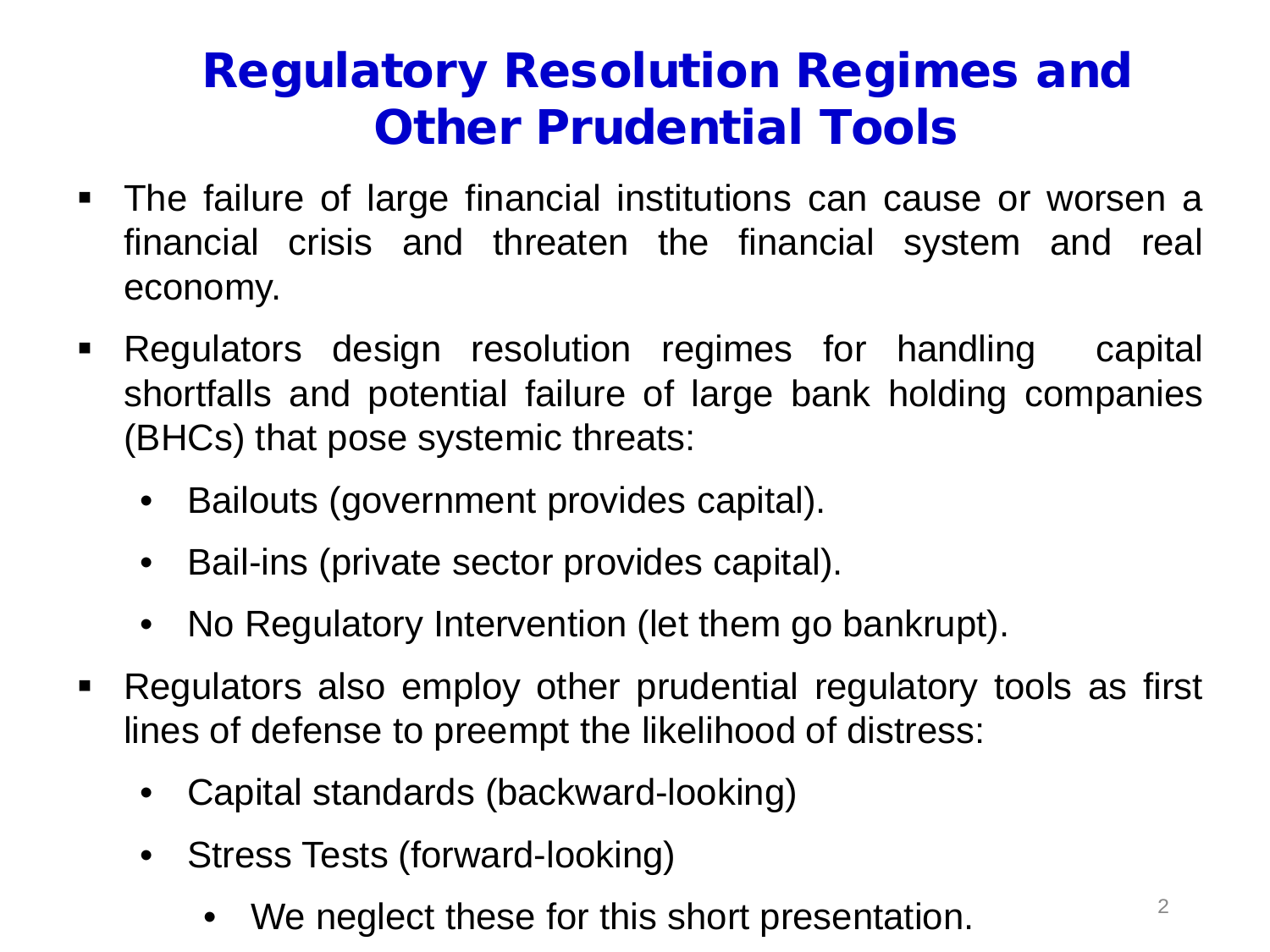#### Regulatory Resolution Regimes and Other Prudential Tools

- The failure of large financial institutions can cause or worsen a financial crisis and threaten the financial system and real economy.
- **-** Regulators design resolution regimes for handling capital shortfalls and potential failure of large bank holding companies (BHCs) that pose systemic threats:
	- Bailouts (government provides capital).
	- Bail-ins (private sector provides capital).
	- No Regulatory Intervention (let them go bankrupt).
- Regulators also employ other prudential regulatory tools as first lines of defense to preempt the likelihood of distress:
	- Capital standards (backward-looking)
	- Stress Tests (forward-looking)
		- We neglect these for this short presentation.  $2^2$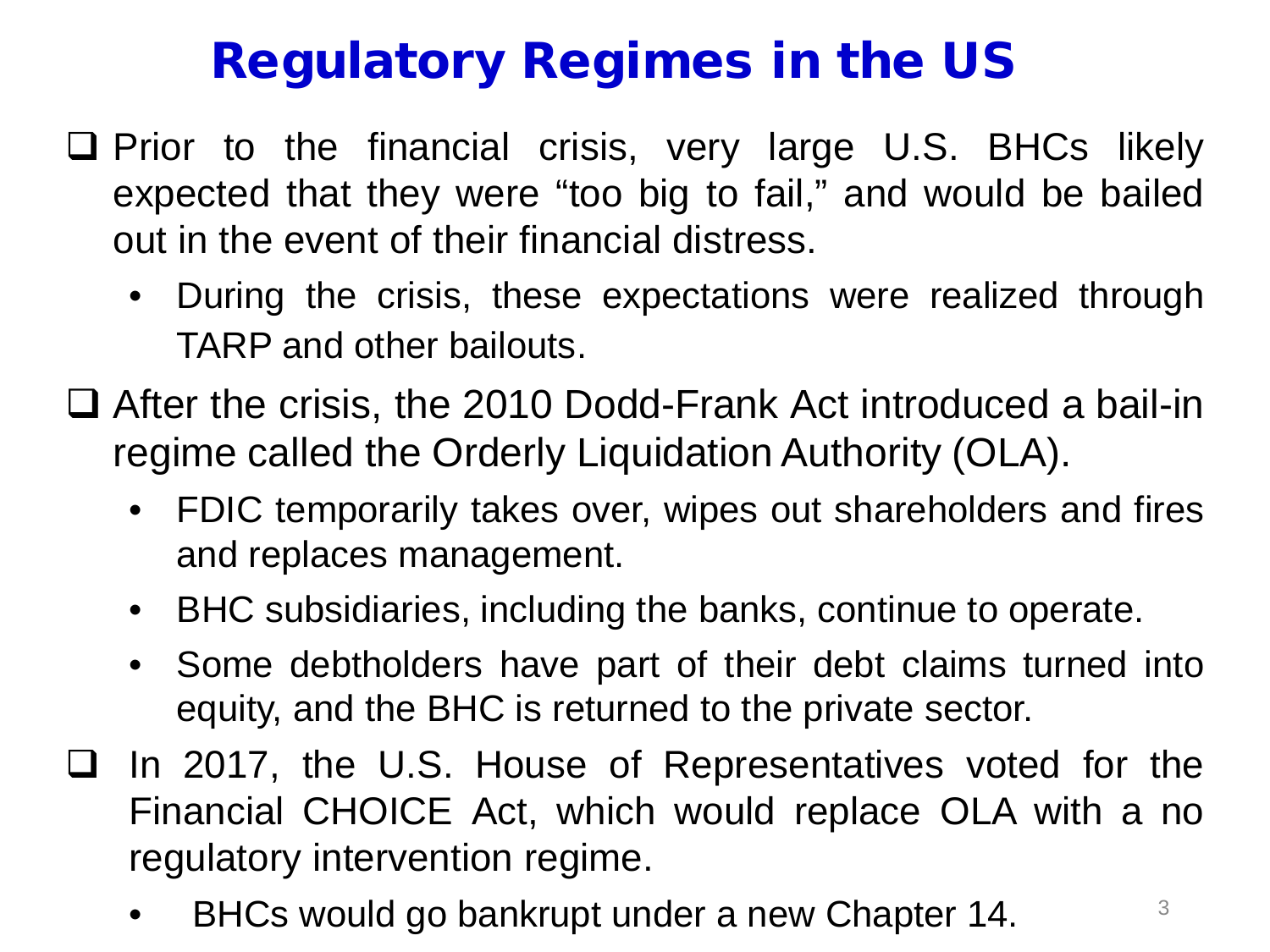# Regulatory Regimes in the US

- $\Box$  Prior to the financial crisis, very large U.S. BHCs likely expected that they were "too big to fail," and would be bailed out in the event of their financial distress.
	- During the crisis, these expectations were realized through TARP and other bailouts.
- □ After the crisis, the 2010 Dodd-Frank Act introduced a bail-in regime called the Orderly Liquidation Authority (OLA).
	- FDIC temporarily takes over, wipes out shareholders and fires and replaces management.
	- BHC subsidiaries, including the banks, continue to operate.
	- Some debtholders have part of their debt claims turned into equity, and the BHC is returned to the private sector.
- In 2017, the U.S. House of Representatives voted for the Financial CHOICE Act, which would replace OLA with a no regulatory intervention regime.
	- BHCs would go bankrupt under a new Chapter 14.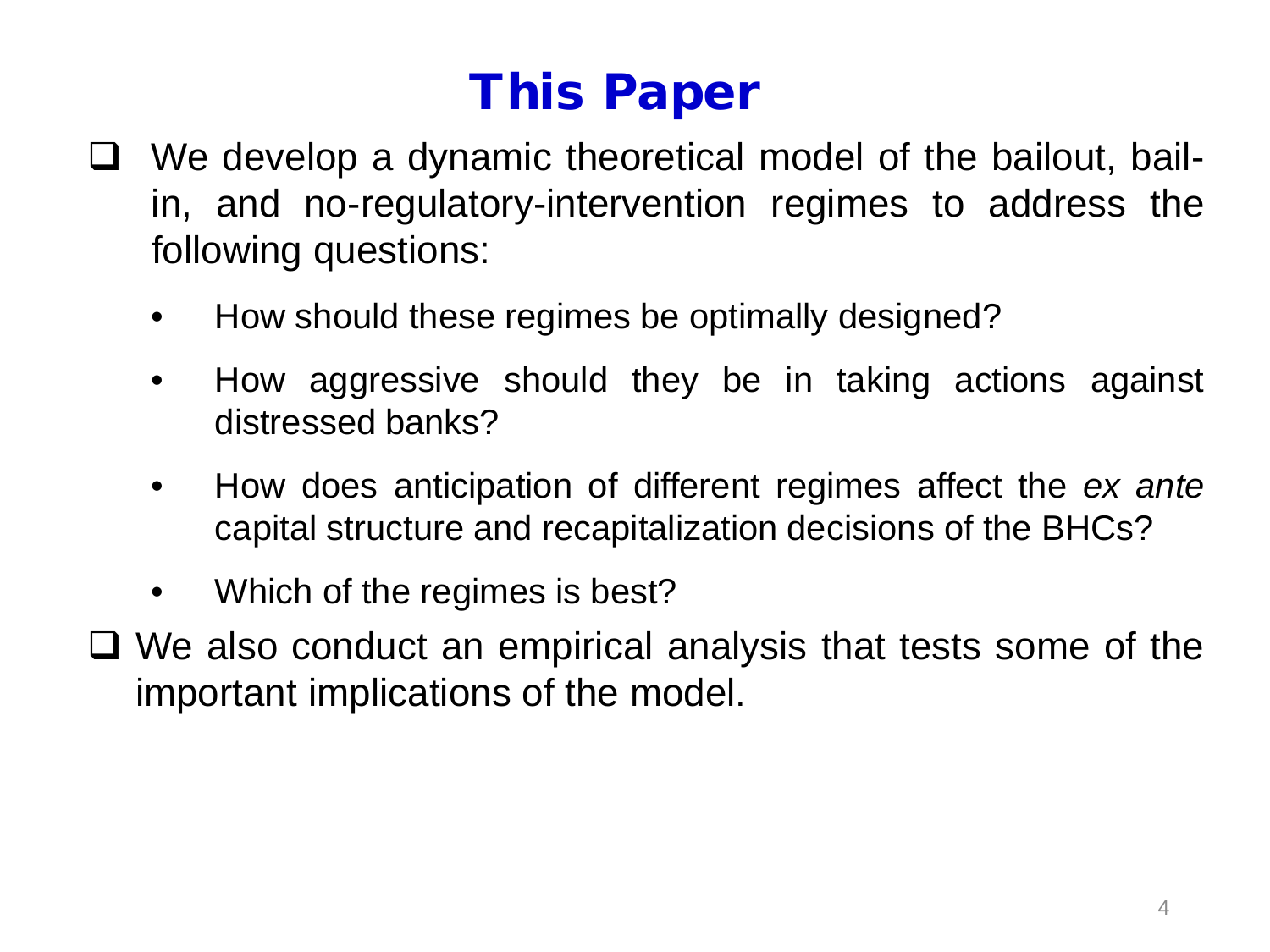# This Paper

- $\Box$  We develop a dynamic theoretical model of the bailout, bailin, and no-regulatory-intervention regimes to address the following questions:
	- How should these regimes be optimally designed?
	- How aggressive should they be in taking actions against distressed banks?
	- How does anticipation of different regimes affect the *ex ante* capital structure and recapitalization decisions of the BHCs?
	- Which of the regimes is best?
- □ We also conduct an empirical analysis that tests some of the important implications of the model.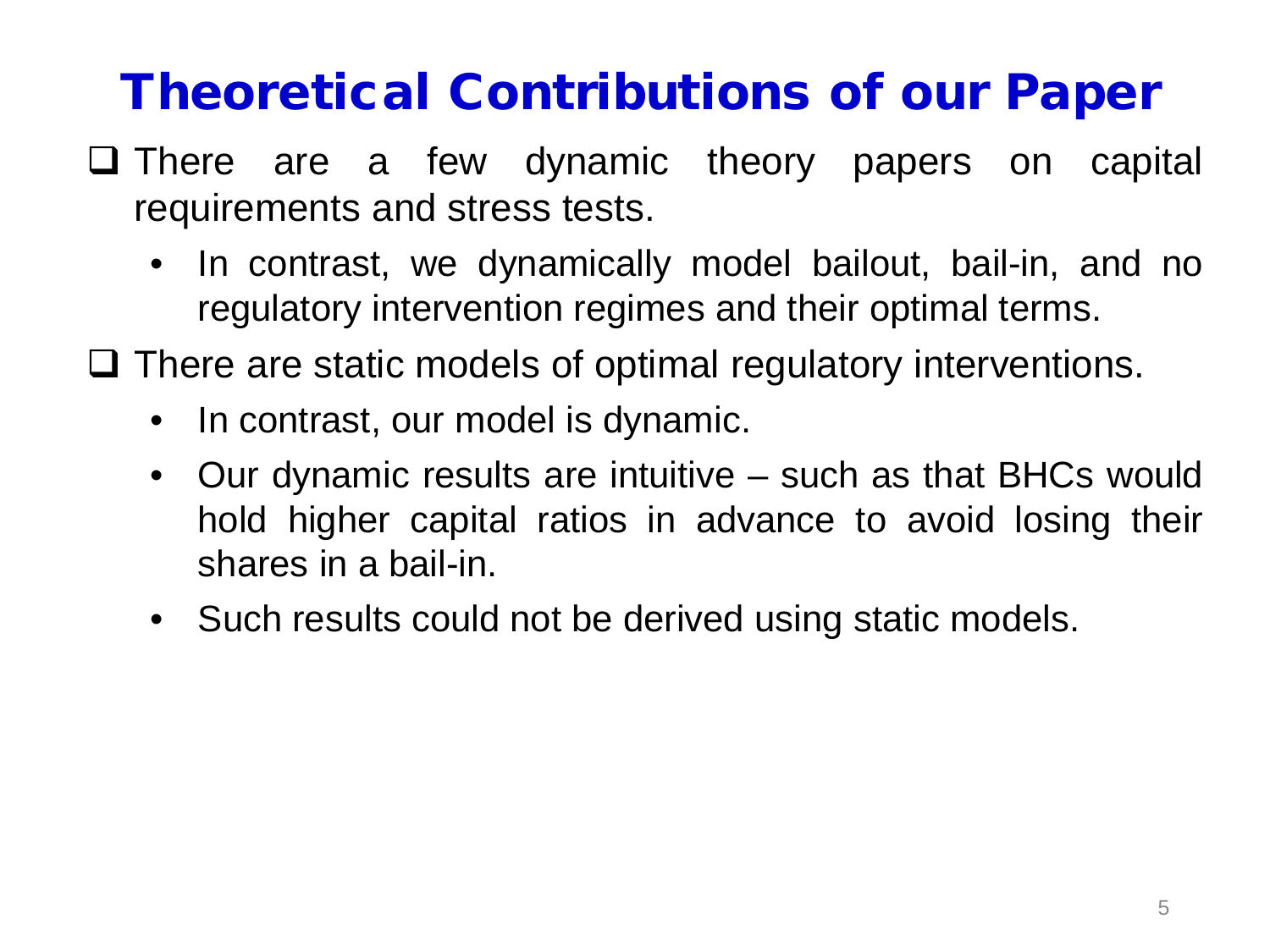## Theoretical Contributions of our Paper

- $\Box$  There are a few dynamic theory papers on capital requirements and stress tests.
	- In contrast, we dynamically model bailout, bail-in, and no regulatory intervention regimes and their optimal terms.
- $\Box$  There are static models of optimal regulatory interventions.
	- In contrast, our model is dynamic.
	- Our dynamic results are intuitive such as that BHCs would hold higher capital ratios in advance to avoid losing their shares in a bail-in.
	- Such results could not be derived using static models.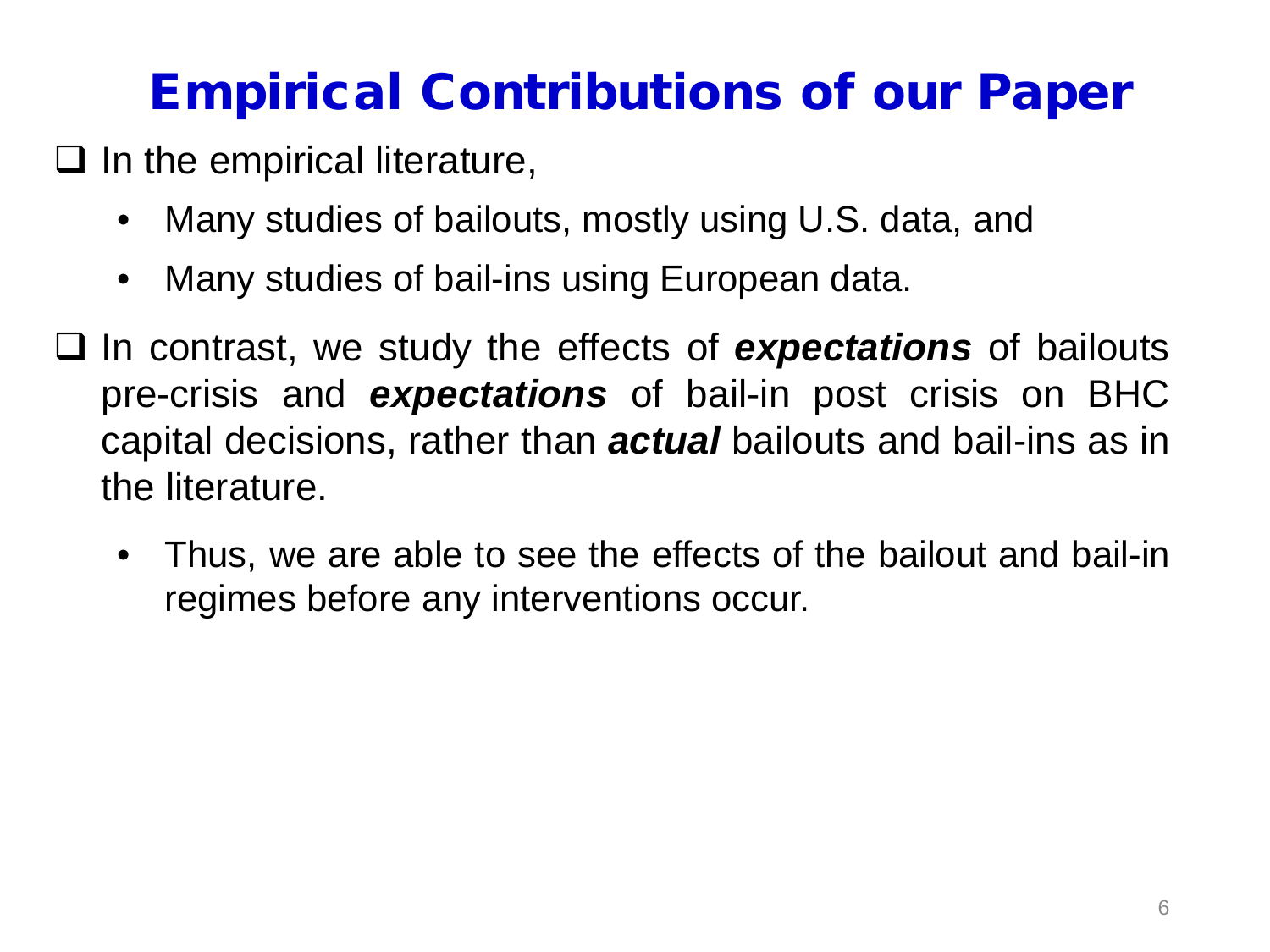# Empirical Contributions of our Paper

- $\Box$  In the empirical literature,
	- Many studies of bailouts, mostly using U.S. data, and
	- Many studies of bail-ins using European data.
- In contrast, we study the effects of *expectations* of bailouts pre-crisis and *expectations* of bail-in post crisis on BHC capital decisions, rather than *actual* bailouts and bail-ins as in the literature.
	- Thus, we are able to see the effects of the bailout and bail-in regimes before any interventions occur.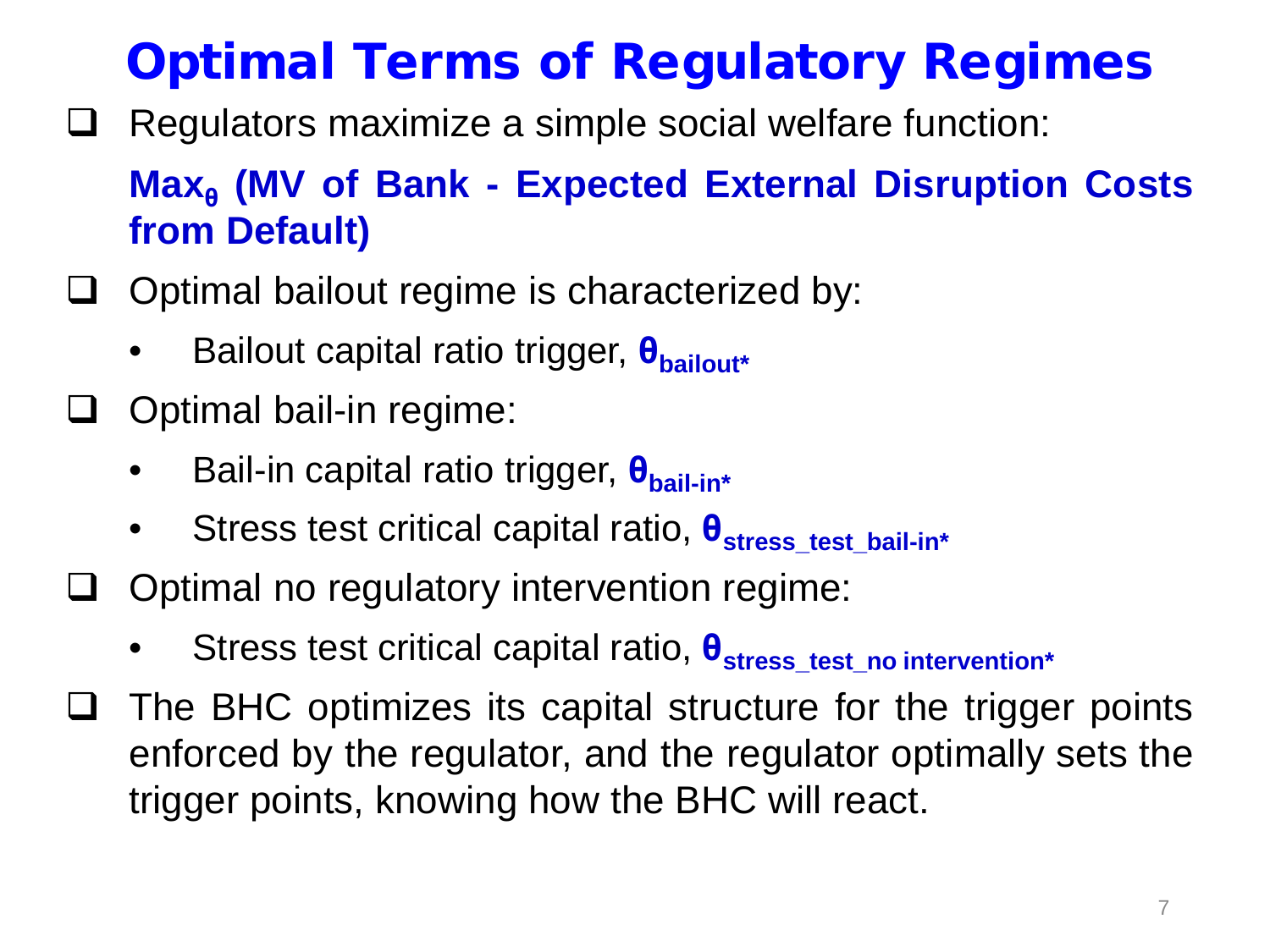# Optimal Terms of Regulatory Regimes

 $\Box$  Regulators maximize a simple social welfare function:

#### **Max<sup>θ</sup> (MV of Bank - Expected External Disruption Costs from Default)**

- $\Box$  Optimal bailout regime is characterized by:
	- Bailout capital ratio trigger, **θbailout\***
- $\Box$  Optimal bail-in regime:
	- Bail-in capital ratio trigger, **θbail-in\***
	- Stress test critical capital ratio,  $\theta_{\text{stress test ball-in*}}$
- $\Box$  Optimal no regulatory intervention regime:
	- Stress test critical capital ratio, **θstress\_test\_no intervention\***
- $\Box$  The BHC optimizes its capital structure for the trigger points enforced by the regulator, and the regulator optimally sets the trigger points, knowing how the BHC will react.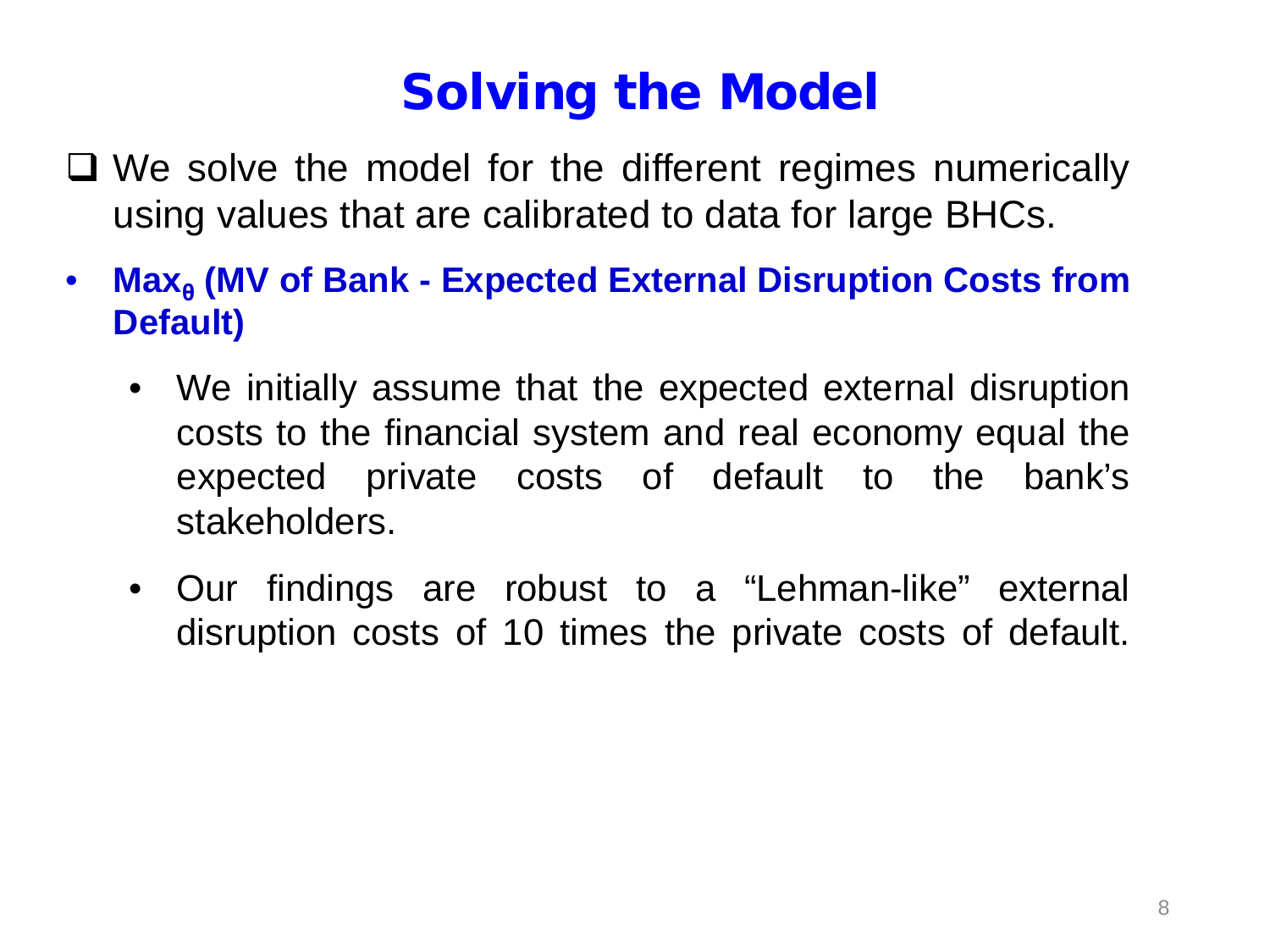# Solving the Model

- □ We solve the model for the different regimes numerically using values that are calibrated to data for large BHCs.
- **Max<sup>θ</sup> (MV of Bank - Expected External Disruption Costs from Default)**
	- We initially assume that the expected external disruption costs to the financial system and real economy equal the expected private costs of default to the bank's stakeholders.
	- Our findings are robust to a "Lehman-like" external disruption costs of 10 times the private costs of default.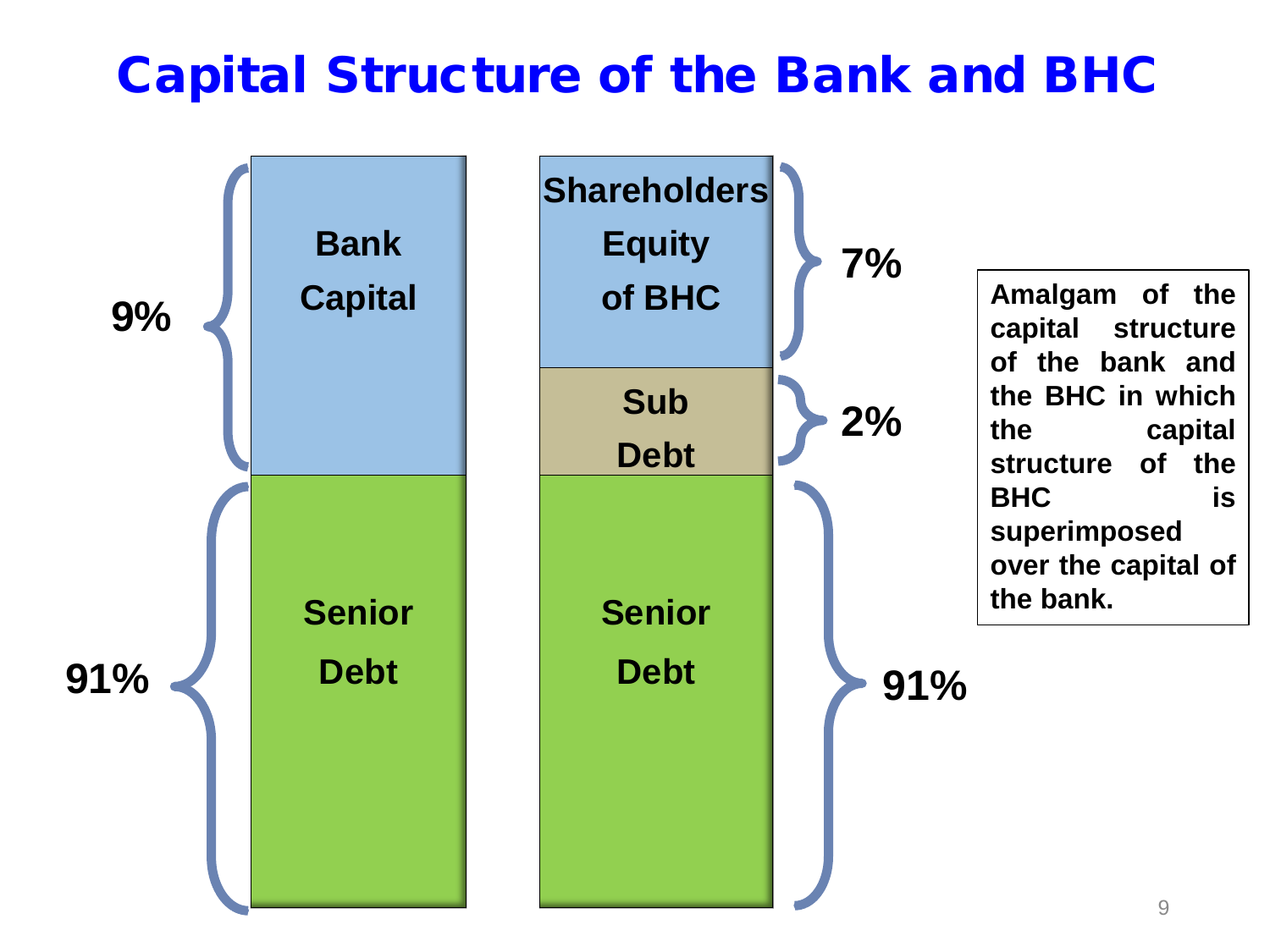#### Capital Structure of the Bank and BHC

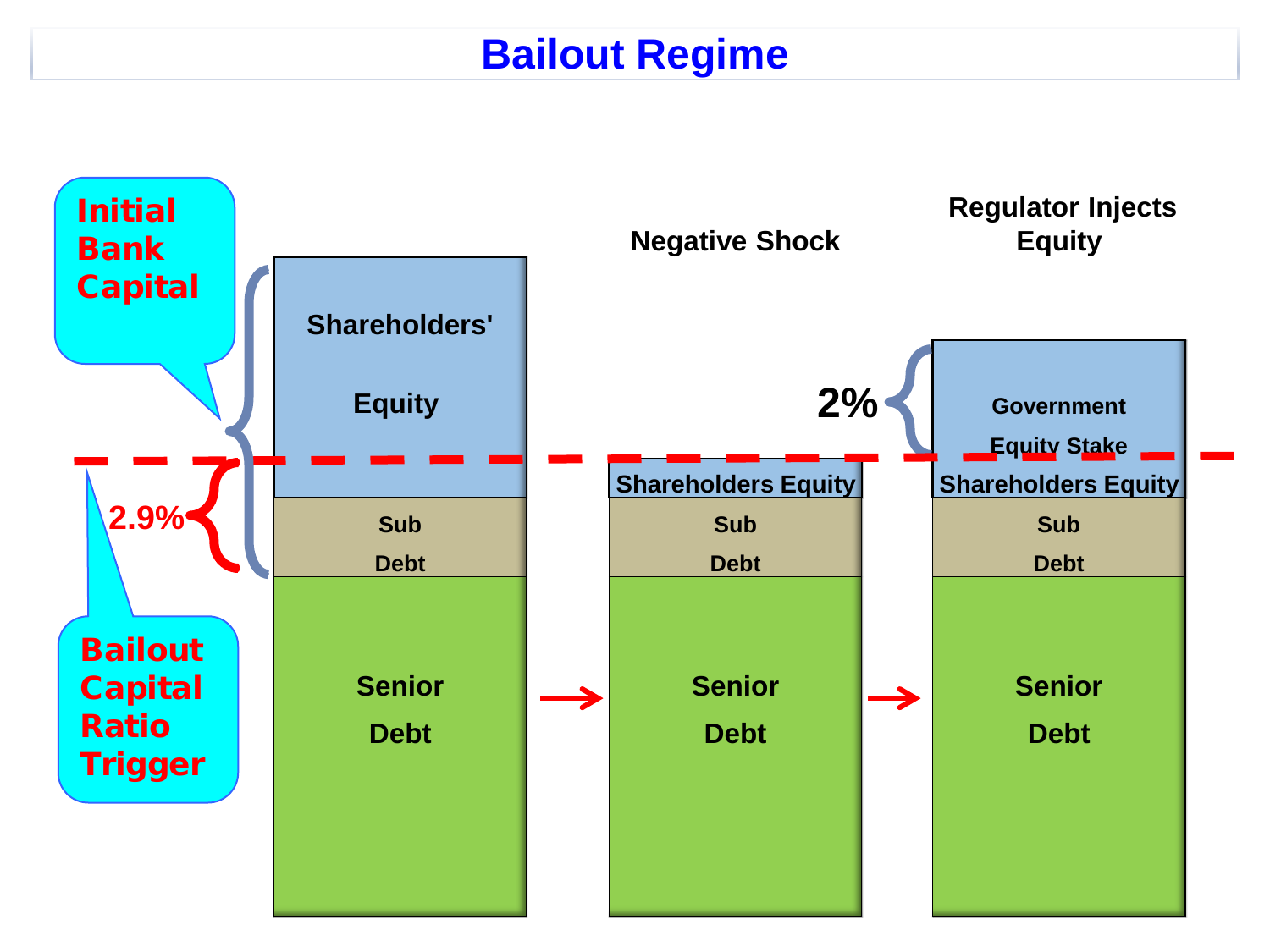#### **Bailout Regime**

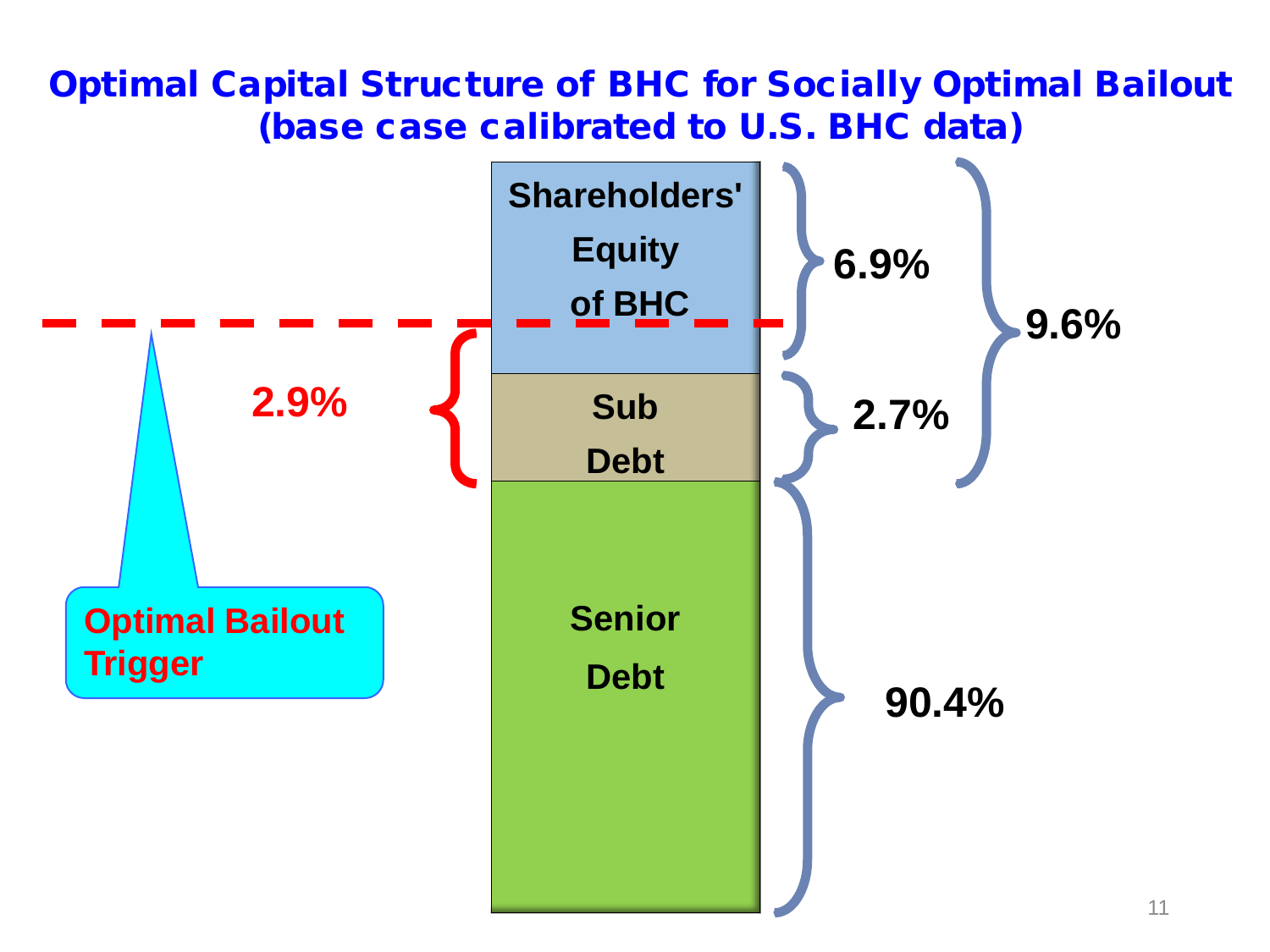#### Optimal Capital Structure of BHC for Socially Optimal Bailout (base case calibrated to U.S. BHC data)

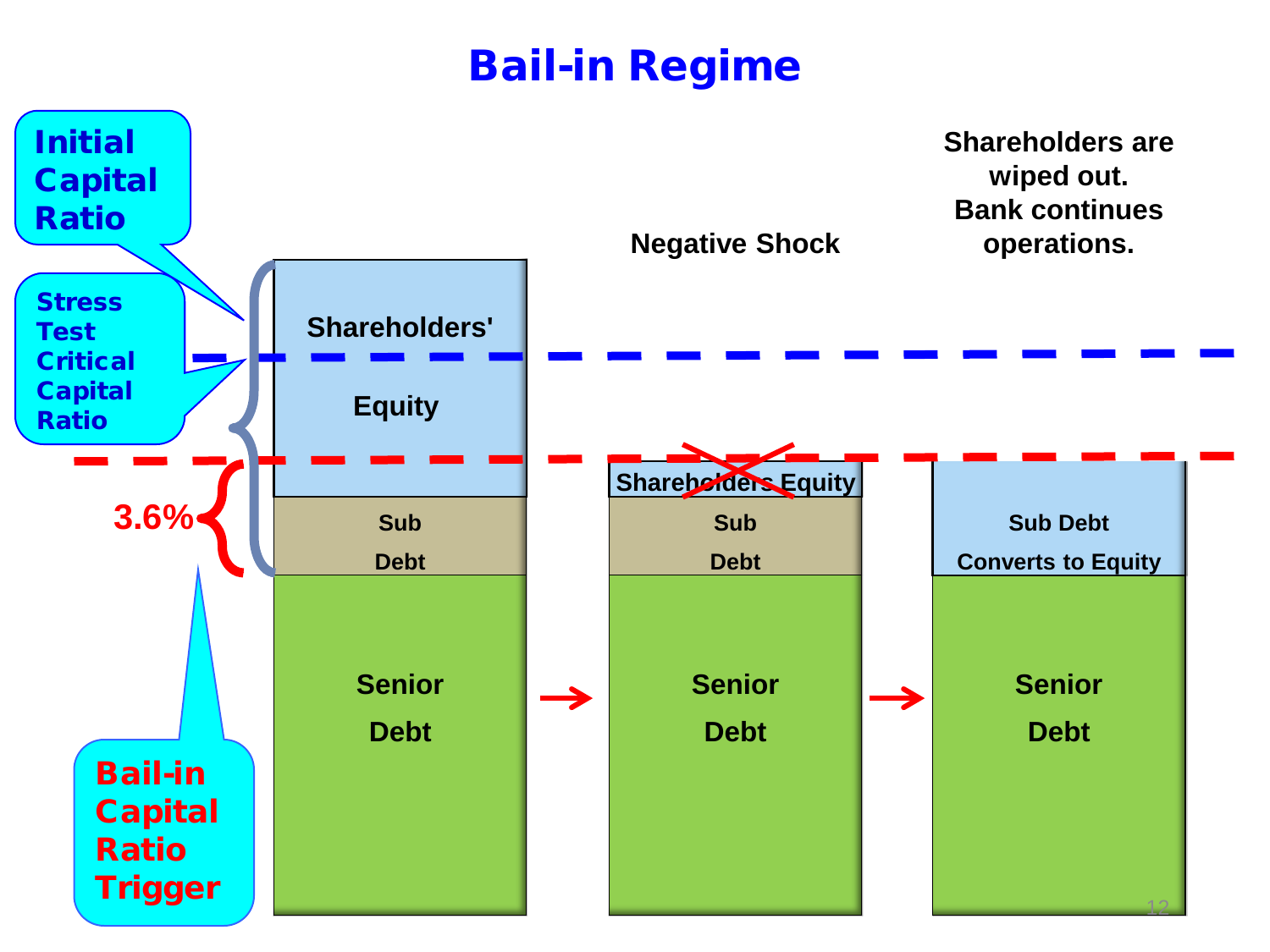#### Bail-in Regime

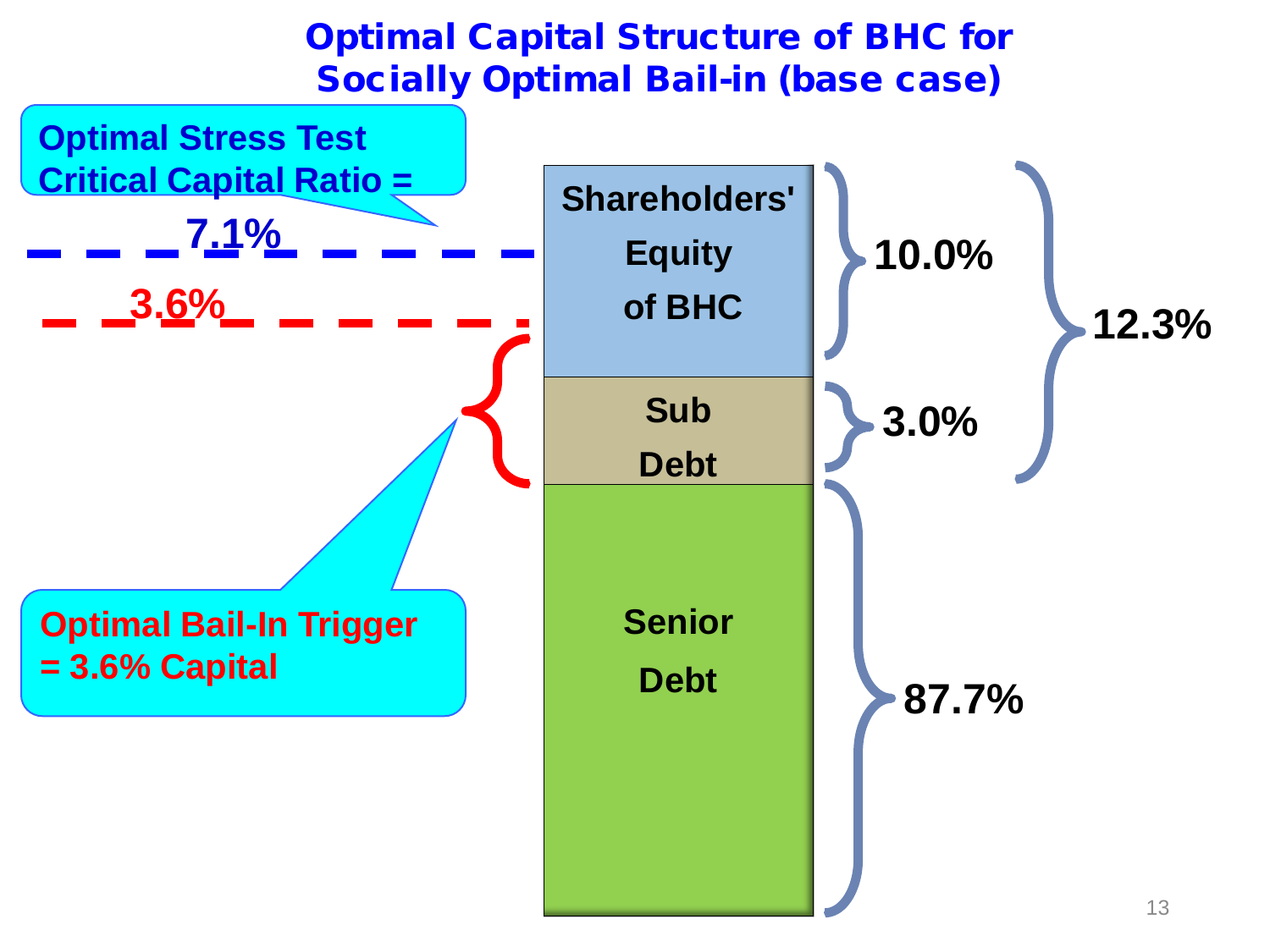#### Optimal Capital Structure of BHC for Socially Optimal Bail-in (base case)

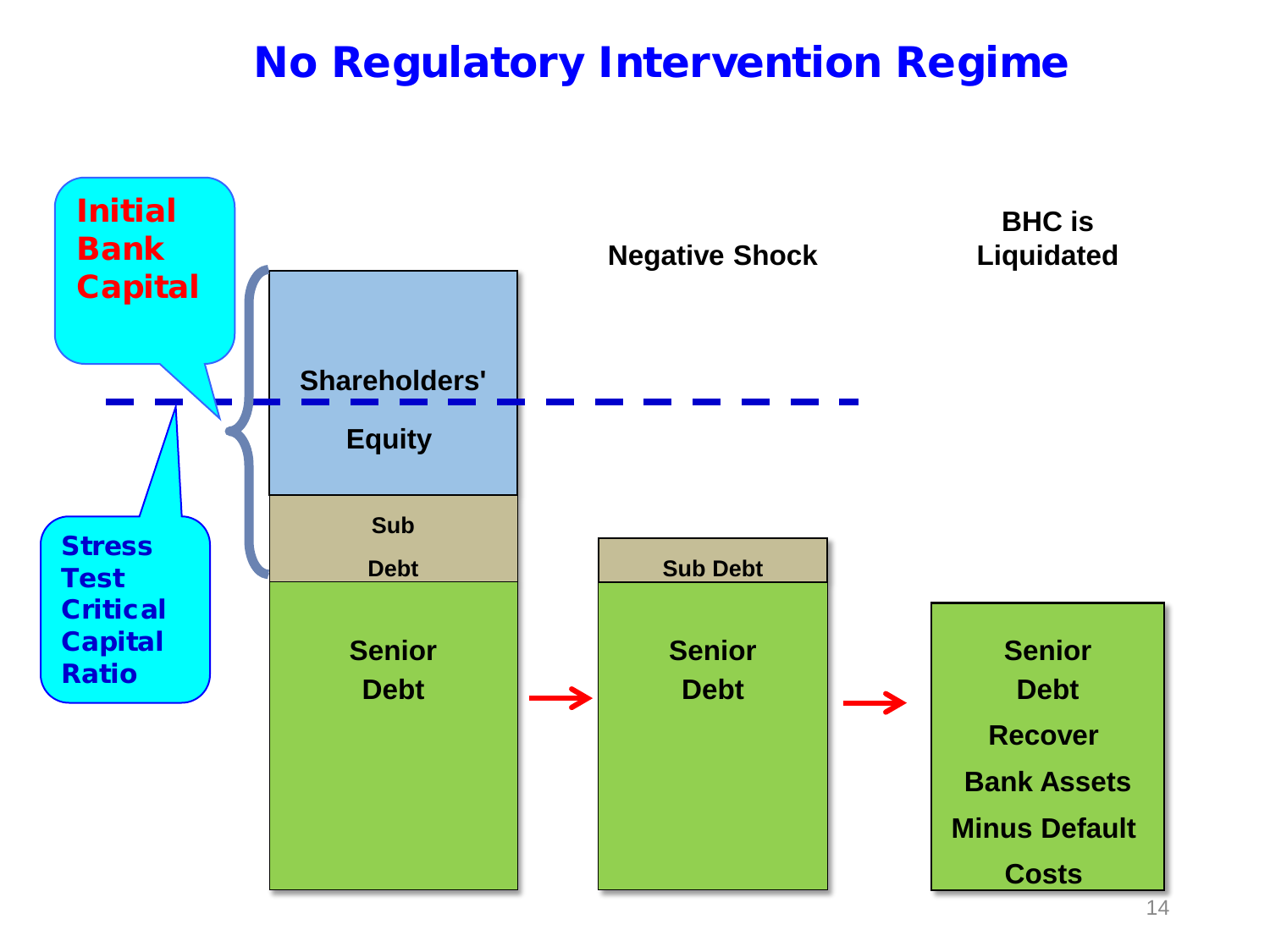#### No Regulatory Intervention Regime

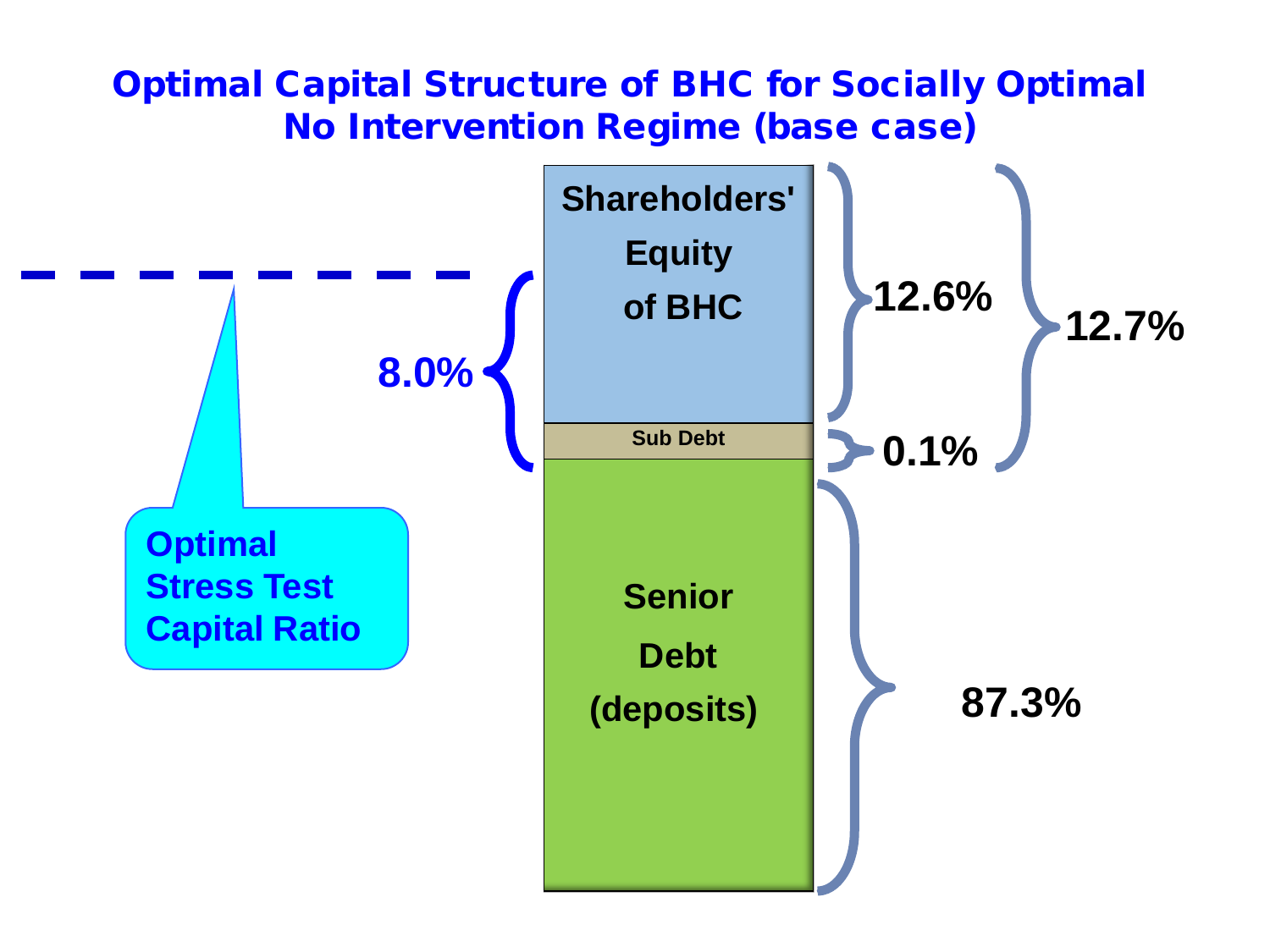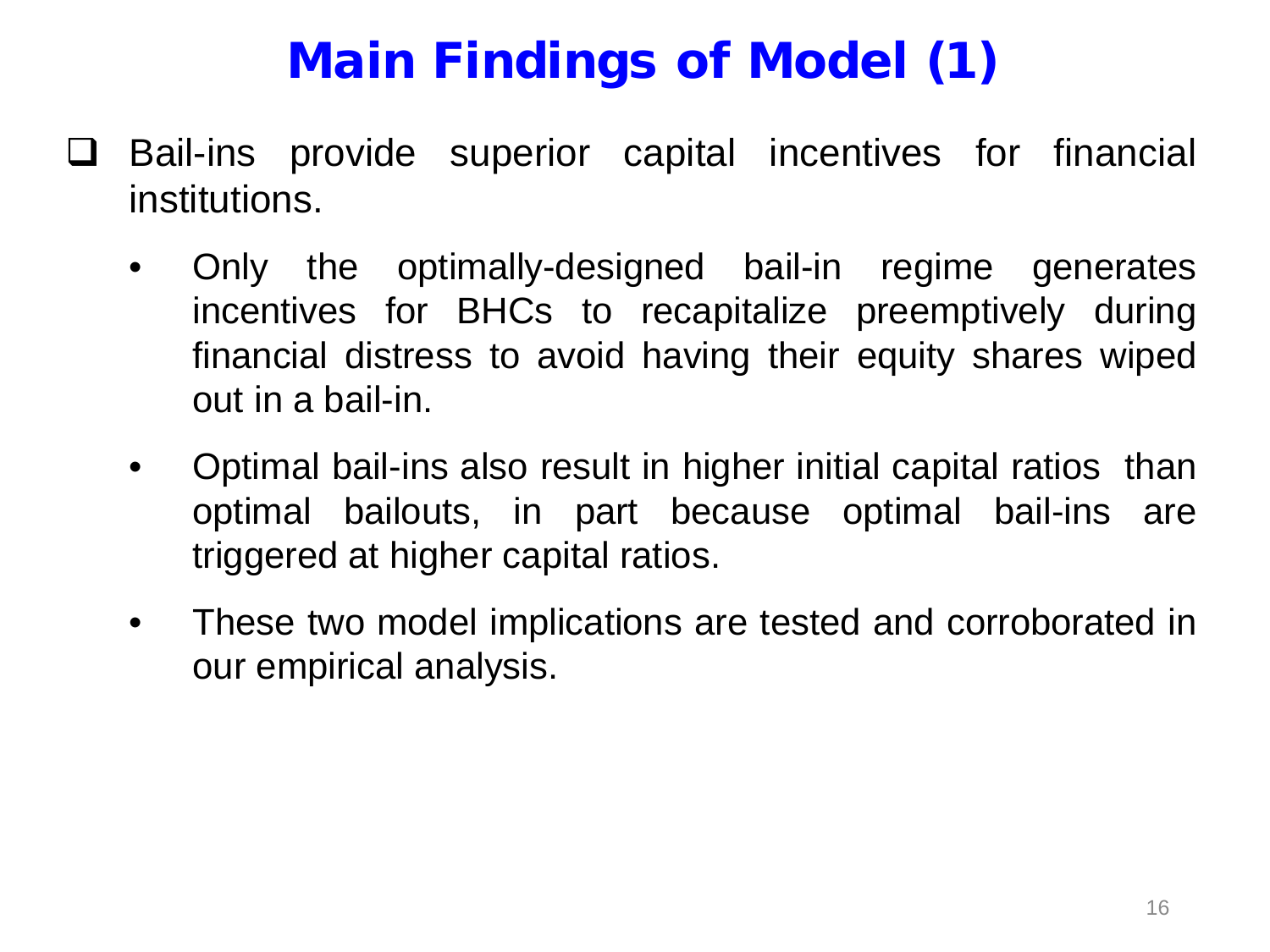# Main Findings of Model (1)

- $\Box$  Bail-ins provide superior capital incentives for financial institutions.
	- Only the optimally-designed bail-in regime generates incentives for BHCs to recapitalize preemptively during financial distress to avoid having their equity shares wiped out in a bail-in.
	- Optimal bail-ins also result in higher initial capital ratios than optimal bailouts, in part because optimal bail-ins are triggered at higher capital ratios.
	- These two model implications are tested and corroborated in our empirical analysis.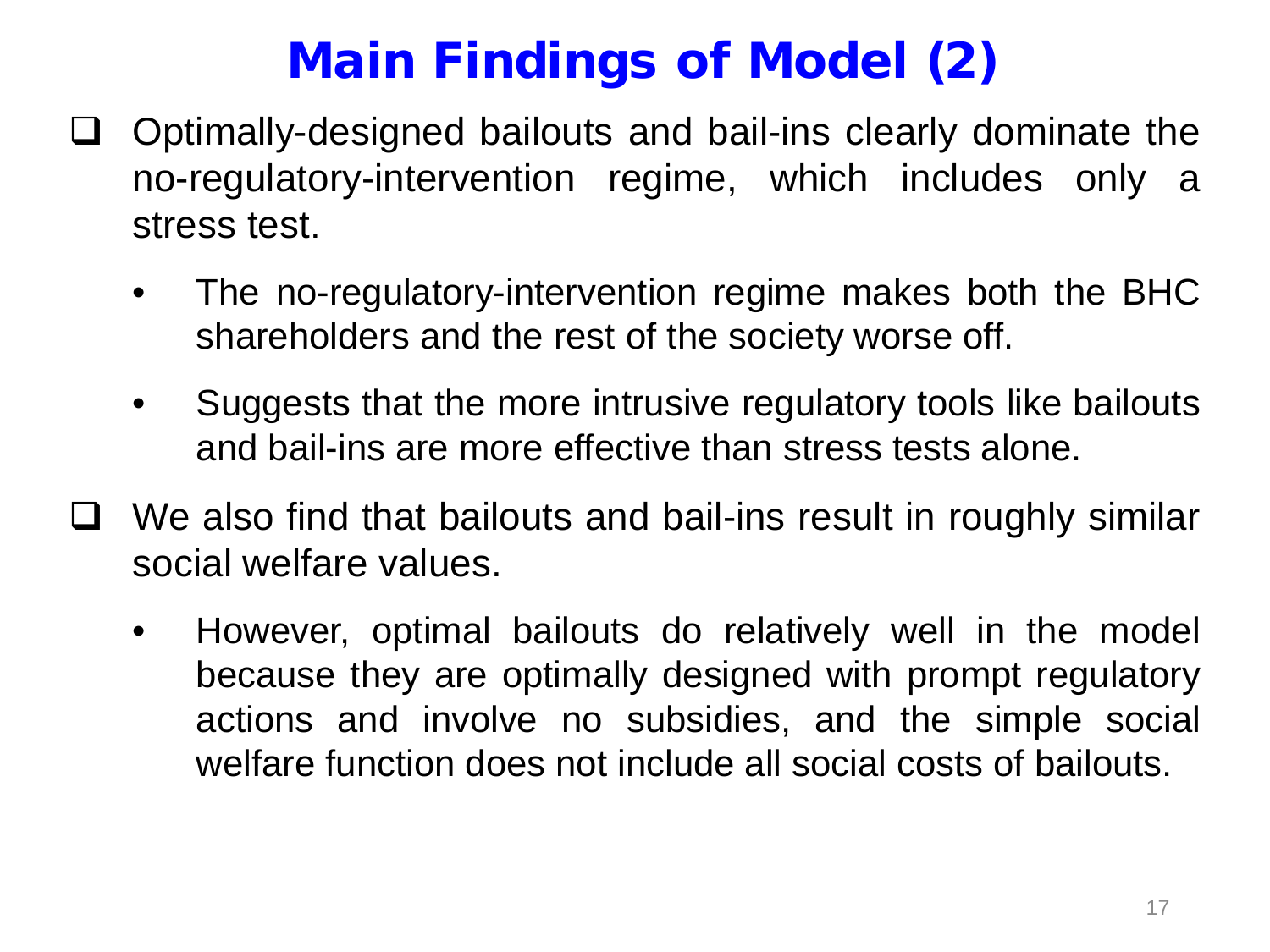### Main Findings of Model (2)

- $\Box$  Optimally-designed bailouts and bail-ins clearly dominate the no-regulatory-intervention regime, which includes only a stress test.
	- The no-regulatory-intervention regime makes both the BHC shareholders and the rest of the society worse off.
	- Suggests that the more intrusive regulatory tools like bailouts and bail-ins are more effective than stress tests alone.
- $\Box$  We also find that bailouts and bail-ins result in roughly similar social welfare values.
	- However, optimal bailouts do relatively well in the model because they are optimally designed with prompt regulatory actions and involve no subsidies, and the simple social welfare function does not include all social costs of bailouts.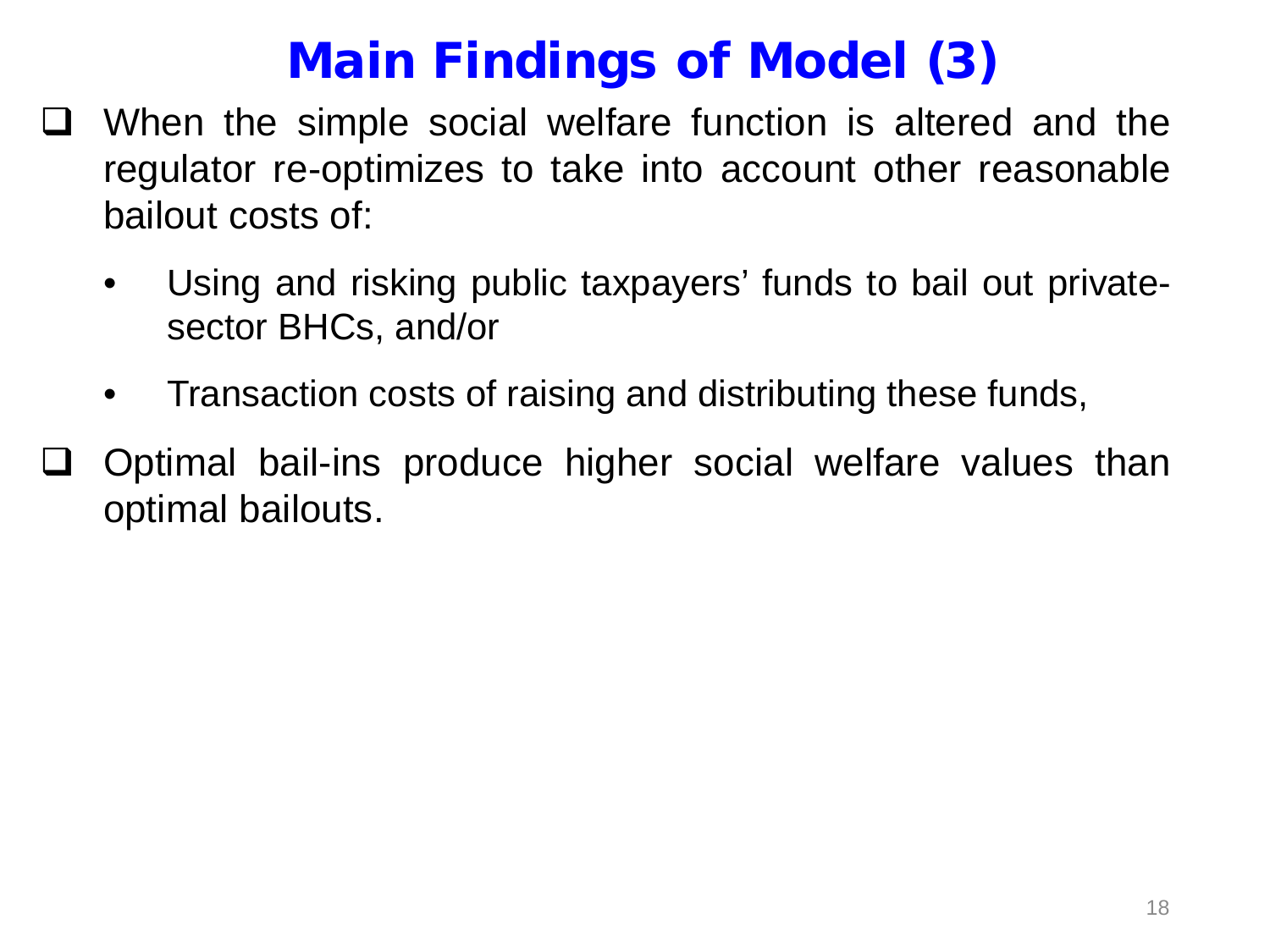### Main Findings of Model (3)

- When the simple social welfare function is altered and the regulator re-optimizes to take into account other reasonable bailout costs of:
	- Using and risking public taxpayers' funds to bail out privatesector BHCs, and/or
	- Transaction costs of raising and distributing these funds,
- Optimal bail-ins produce higher social welfare values than optimal bailouts.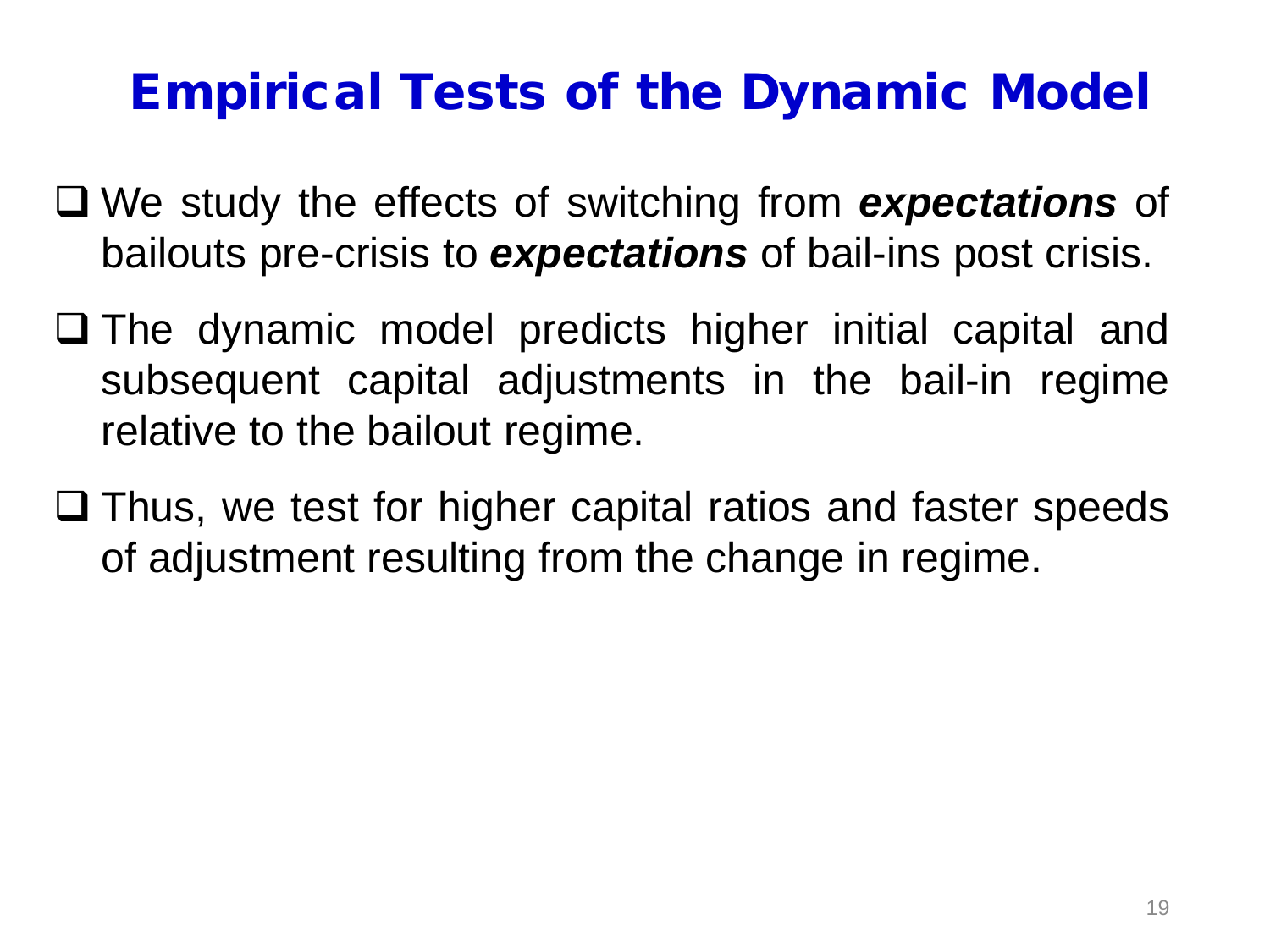#### Empirical Tests of the Dynamic Model

- We study the effects of switching from *expectations* of bailouts pre-crisis to *expectations* of bail-ins post crisis.
- $\square$  The dynamic model predicts higher initial capital and subsequent capital adjustments in the bail-in regime relative to the bailout regime.
- $\Box$  Thus, we test for higher capital ratios and faster speeds of adjustment resulting from the change in regime.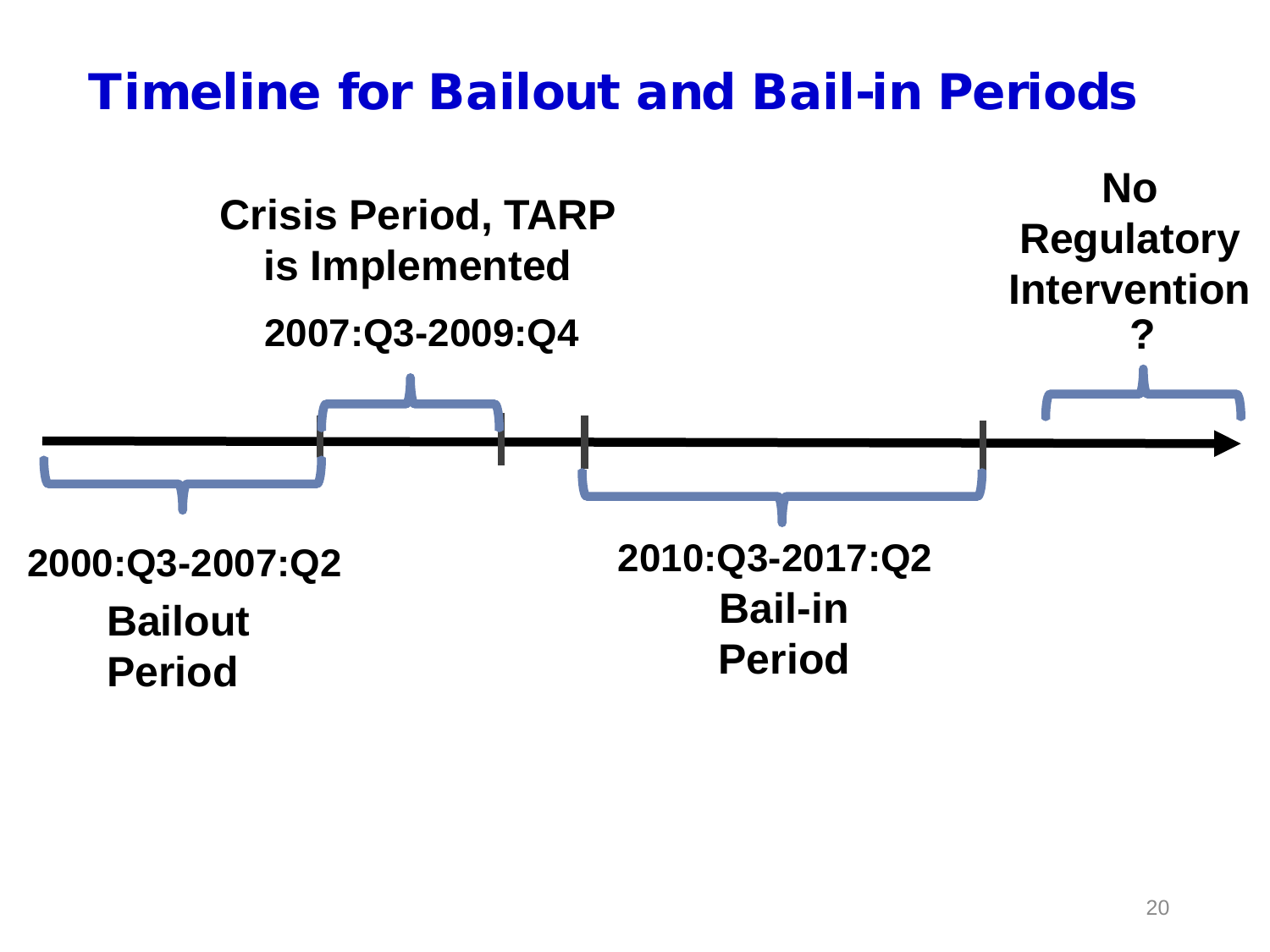#### Timeline for Bailout and Bail-in Periods

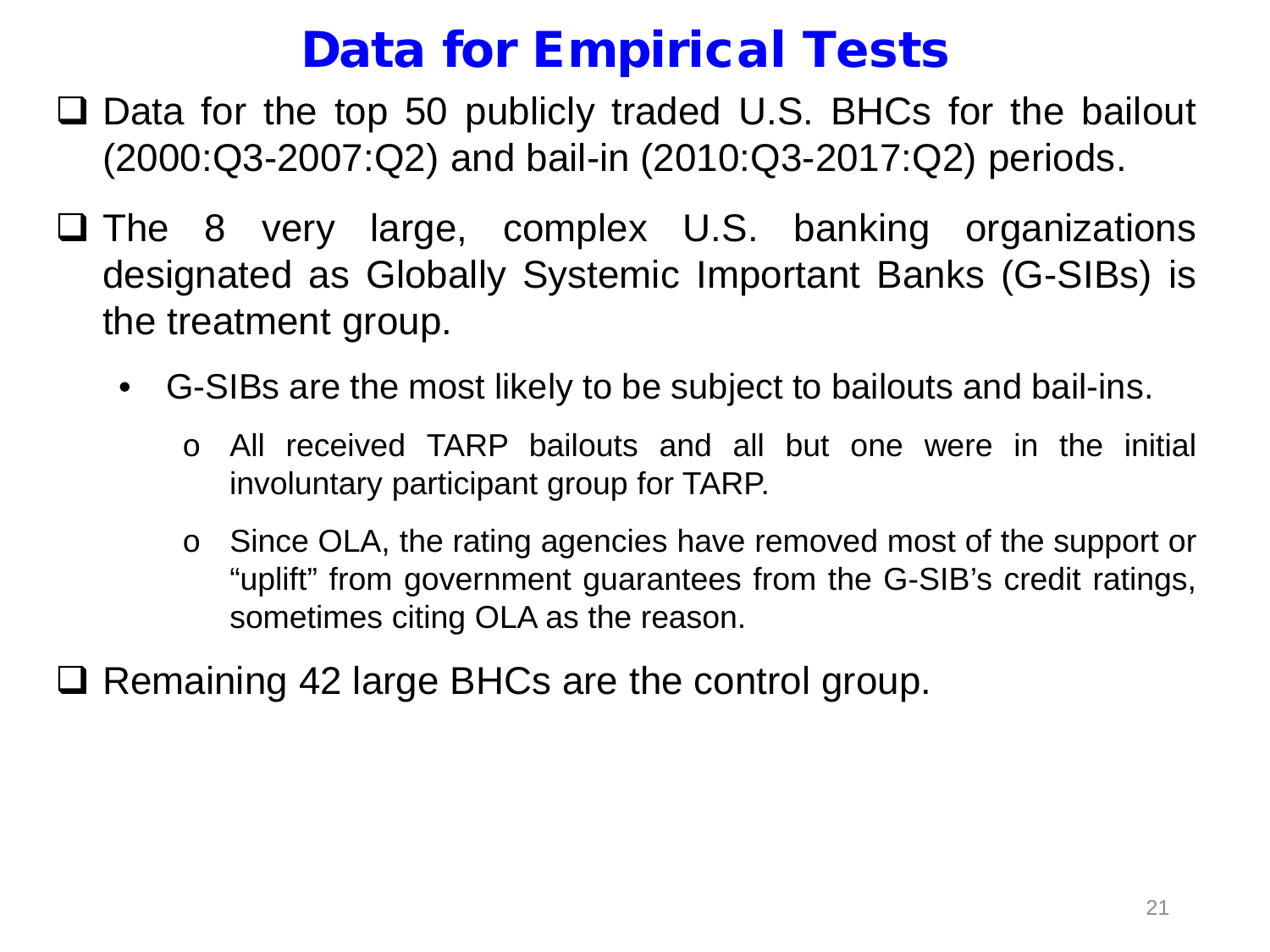#### Data for Empirical Tests

- □ Data for the top 50 publicly traded U.S. BHCs for the bailout (2000:Q3-2007:Q2) and bail-in (2010:Q3-2017:Q2) periods.
- $\Box$  The 8 very large, complex U.S. banking organizations designated as Globally Systemic Important Banks (G-SIBs) is the treatment group.
	- G-SIBs are the most likely to be subject to bailouts and bail-ins.
		- o All received TARP bailouts and all but one were in the initial involuntary participant group for TARP.
		- o Since OLA, the rating agencies have removed most of the support or "uplift" from government guarantees from the G-SIB's credit ratings, sometimes citing OLA as the reason.
- $\Box$  Remaining 42 large BHCs are the control group.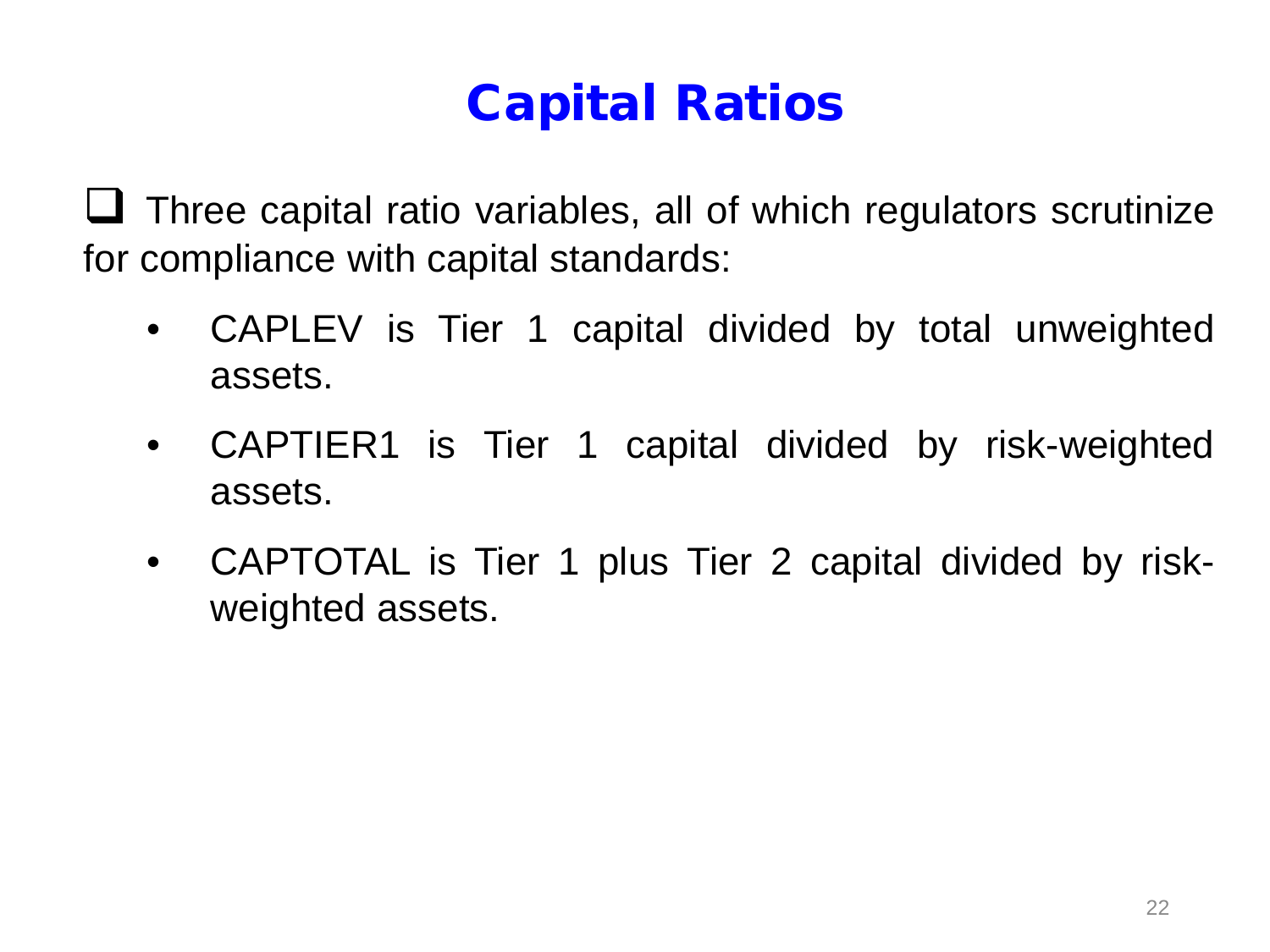# Capital Ratios

 Three capital ratio variables, all of which regulators scrutinize for compliance with capital standards:

- CAPLEV is Tier 1 capital divided by total unweighted assets.
- CAPTIER1 is Tier 1 capital divided by risk-weighted assets.
- CAPTOTAL is Tier 1 plus Tier 2 capital divided by riskweighted assets.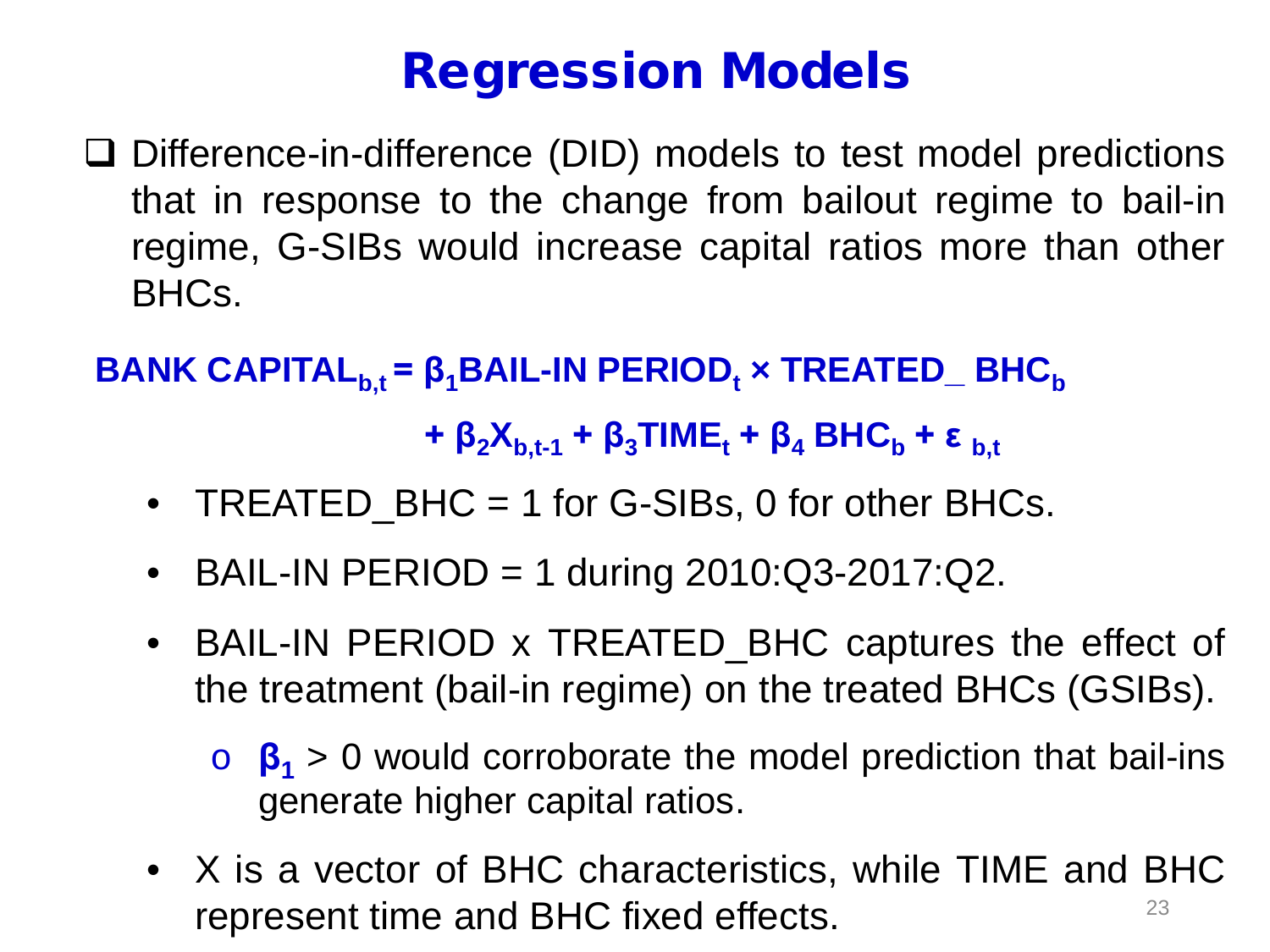## Regression Models

□ Difference-in-difference (DID) models to test model predictions that in response to the change from bailout regime to bail-in regime, G-SIBs would increase capital ratios more than other BHCs.

**BANK CAPITAL**<sub>b,t</sub> =  $\beta_1$ BAIL-IN PERIOD<sub>t</sub> × TREATED\_ BHC<sub>b</sub>

**+**  $\beta_2 X_{b,t-1}$  **+**  $\beta_3$  TIME<sub>t</sub> **+**  $\beta_4$  BHC<sub>b</sub> **+** ε<sub> b,t</sub>

- TREATED\_BHC = 1 for G-SIBs, 0 for other BHCs.
- BAIL-IN PERIOD = 1 during  $2010:Q3-2017:Q2$ .
- BAIL-IN PERIOD x TREATED\_BHC captures the effect of the treatment (bail-in regime) on the treated BHCs (GSIBs).
	- o **β<sup>1</sup>** > 0 would corroborate the model prediction that bail-ins generate higher capital ratios.
- X is a vector of BHC characteristics, while TIME and BHC represent time and BHC fixed effects. The state of the state of  $^{23}$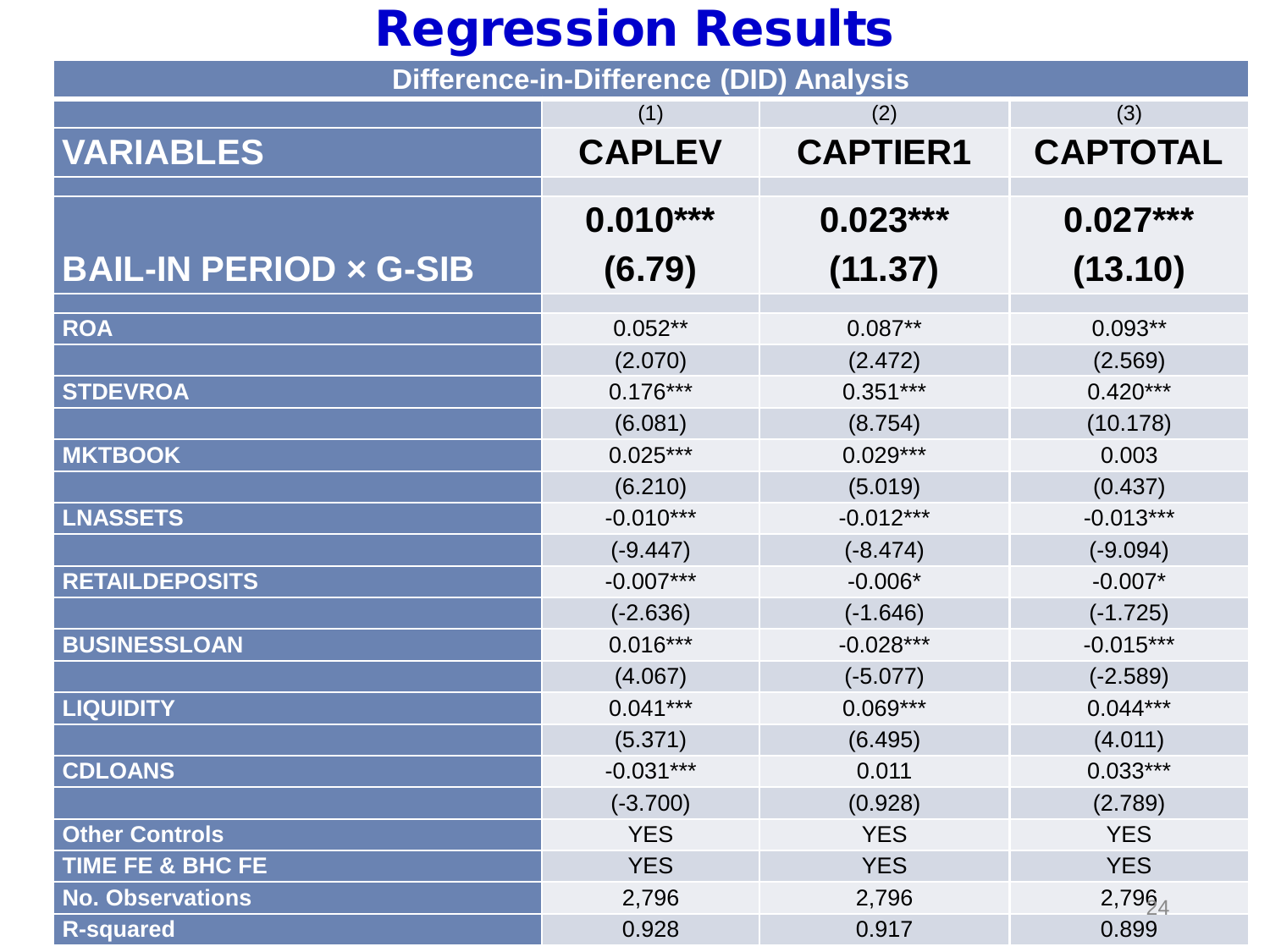# Regression Results

| <b>Difference-in-Difference (DID) Analysis</b> |               |                 |                 |  |  |  |  |  |
|------------------------------------------------|---------------|-----------------|-----------------|--|--|--|--|--|
|                                                | (1)           | (2)             | (3)             |  |  |  |  |  |
| <b>VARIABLES</b>                               | <b>CAPLEV</b> | <b>CAPTIER1</b> | <b>CAPTOTAL</b> |  |  |  |  |  |
|                                                |               |                 |                 |  |  |  |  |  |
|                                                | $0.010***$    | $0.023***$      | $0.027***$      |  |  |  |  |  |
| <b>BAIL-IN PERIOD x G-SIB</b>                  | (6.79)        | (11.37)         | (13.10)         |  |  |  |  |  |
|                                                |               |                 |                 |  |  |  |  |  |
| <b>ROA</b>                                     | $0.052**$     | $0.087**$       | $0.093**$       |  |  |  |  |  |
|                                                | (2.070)       | (2.472)         | (2.569)         |  |  |  |  |  |
| <b>STDEVROA</b>                                | $0.176***$    | $0.351***$      | $0.420***$      |  |  |  |  |  |
|                                                | (6.081)       | (8.754)         | (10.178)        |  |  |  |  |  |
| <b>MKTBOOK</b>                                 | $0.025***$    | $0.029***$      | 0.003           |  |  |  |  |  |
|                                                | (6.210)       | (5.019)         | (0.437)         |  |  |  |  |  |
| <b>LNASSETS</b>                                | $-0.010***$   | $-0.012***$     | $-0.013***$     |  |  |  |  |  |
|                                                | $(-9.447)$    | $(-8.474)$      | $(-9.094)$      |  |  |  |  |  |
| <b>RETAILDEPOSITS</b>                          | $-0.007***$   | $-0.006*$       | $-0.007*$       |  |  |  |  |  |
|                                                | $(-2.636)$    | $(-1.646)$      | $(-1.725)$      |  |  |  |  |  |
| <b>BUSINESSLOAN</b>                            | $0.016***$    | $-0.028***$     | $-0.015***$     |  |  |  |  |  |
|                                                | (4.067)       | $(-5.077)$      | $(-2.589)$      |  |  |  |  |  |
| <b>LIQUIDITY</b>                               | $0.041***$    | $0.069***$      | $0.044***$      |  |  |  |  |  |
|                                                | (5.371)       | (6.495)         | (4.011)         |  |  |  |  |  |
| <b>CDLOANS</b>                                 | $-0.031***$   | 0.011           | $0.033***$      |  |  |  |  |  |
|                                                | $(-3.700)$    | (0.928)         | (2.789)         |  |  |  |  |  |
| <b>Other Controls</b>                          | <b>YES</b>    | <b>YES</b>      | <b>YES</b>      |  |  |  |  |  |
| TIME FE & BHC FE                               | <b>YES</b>    | <b>YES</b>      | <b>YES</b>      |  |  |  |  |  |
| <b>No. Observations</b>                        | 2,796         | 2,796           | $2,796_4$       |  |  |  |  |  |
| <b>R-squared</b>                               | 0.928         | 0.917           | 0.899           |  |  |  |  |  |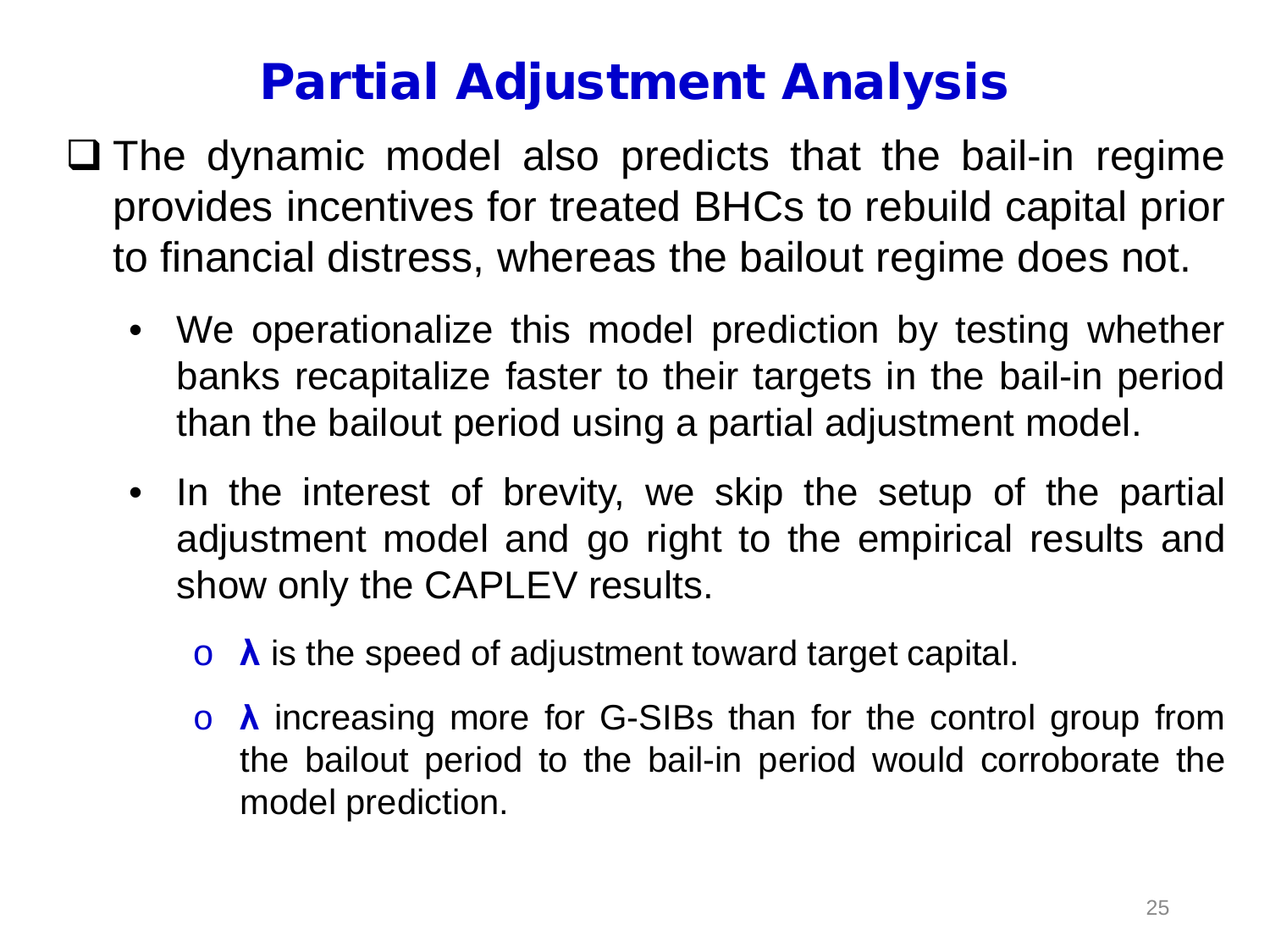# Partial Adjustment Analysis

- $\square$  The dynamic model also predicts that the bail-in regime provides incentives for treated BHCs to rebuild capital prior to financial distress, whereas the bailout regime does not.
	- We operationalize this model prediction by testing whether banks recapitalize faster to their targets in the bail-in period than the bailout period using a partial adjustment model.
	- In the interest of brevity, we skip the setup of the partial adjustment model and go right to the empirical results and show only the CAPLEV results.
		- o **λ** is the speed of adjustment toward target capital.
		- o **λ** increasing more for G-SIBs than for the control group from the bailout period to the bail-in period would corroborate the model prediction.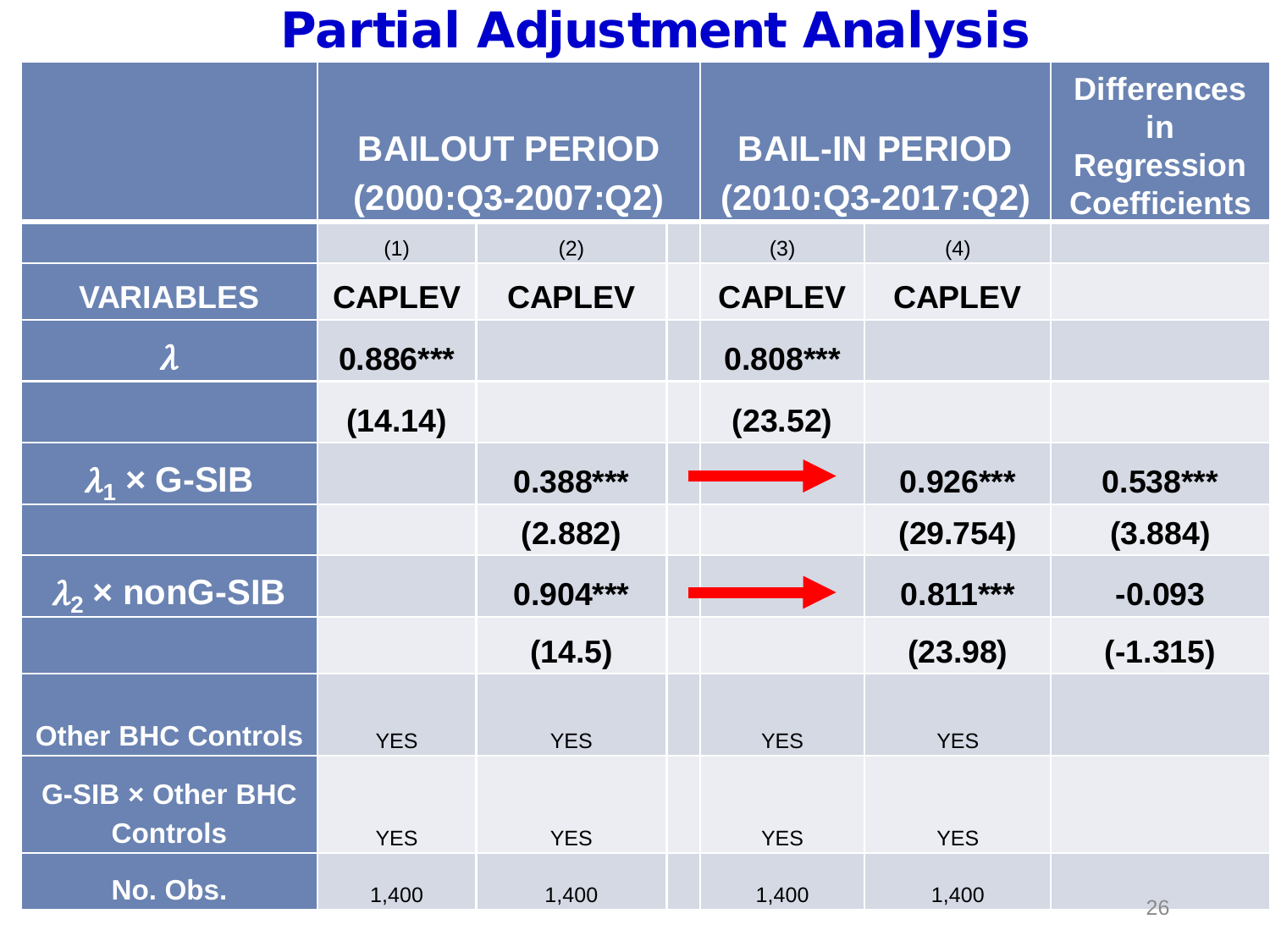#### Partial Adjustment Analysis

|                                             | <b>BAILOUT PERIOD</b><br>$(2000:Q3-2007:Q2)$ |               | <b>BAIL-IN PERIOD</b><br>$(2010:Q3-2017:Q2)$ |               | <b>Differences</b><br><u>in</u><br><b>Regression</b><br><b>Coefficients</b> |            |
|---------------------------------------------|----------------------------------------------|---------------|----------------------------------------------|---------------|-----------------------------------------------------------------------------|------------|
|                                             | (1)                                          | (2)           |                                              | (3)           | (4)                                                                         |            |
| <b>VARIABLES</b>                            | <b>CAPLEV</b>                                | <b>CAPLEV</b> |                                              | <b>CAPLEV</b> | <b>CAPLEV</b>                                                               |            |
| $\boldsymbol{\lambda}$                      | 0.886***                                     |               |                                              | $0.808***$    |                                                                             |            |
|                                             | (14.14)                                      |               |                                              | (23.52)       |                                                                             |            |
| $\lambda_1 \times G$ -SIB                   |                                              | $0.388***$    |                                              |               | $0.926***$                                                                  | $0.538***$ |
|                                             |                                              | (2.882)       |                                              |               | (29.754)                                                                    | (3.884)    |
| $\overline{\lambda}_2$ x nonG-SIB           |                                              | $0.904***$    |                                              |               | $0.811***$                                                                  | $-0.093$   |
|                                             |                                              | (14.5)        |                                              |               | (23.98)                                                                     | $(-1.315)$ |
| Other BHC Controls                          | <b>YES</b>                                   | <b>YES</b>    |                                              | <b>YES</b>    | <b>YES</b>                                                                  |            |
| <b>G-SIB x Other BHC</b><br><b>Controls</b> | <b>YES</b>                                   | <b>YES</b>    |                                              | <b>YES</b>    | <b>YES</b>                                                                  |            |
| No. Obs.                                    | 1,400                                        | 1,400         |                                              | 1,400         | 1,400                                                                       | 26         |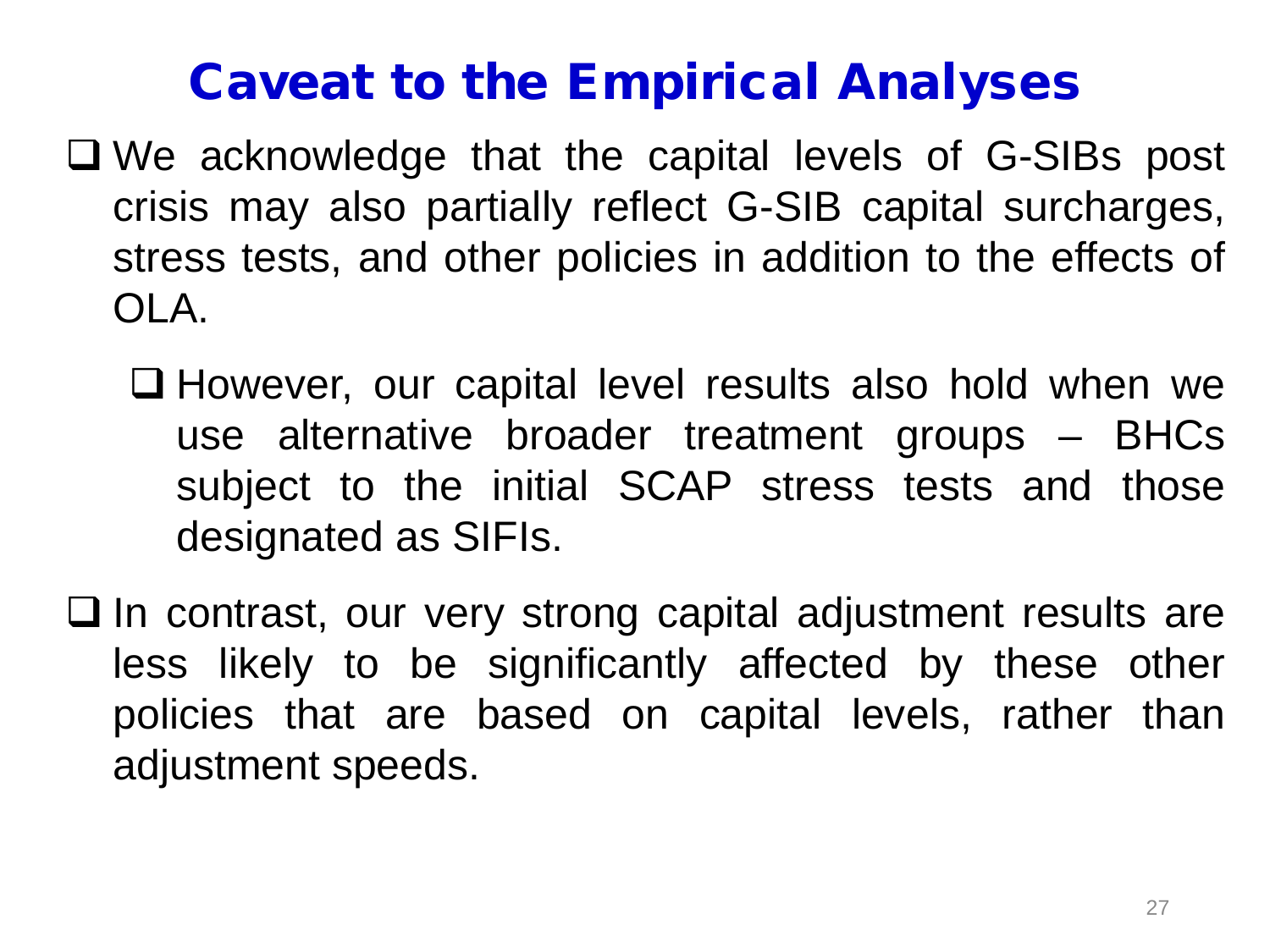#### Caveat to the Empirical Analyses

- We acknowledge that the capital levels of G-SIBs post crisis may also partially reflect G-SIB capital surcharges, stress tests, and other policies in addition to the effects of OLA.
	- □ However, our capital level results also hold when we use alternative broader treatment groups – BHCs subject to the initial SCAP stress tests and those designated as SIFIs.
- $\Box$  In contrast, our very strong capital adjustment results are less likely to be significantly affected by these other policies that are based on capital levels, rather than adjustment speeds.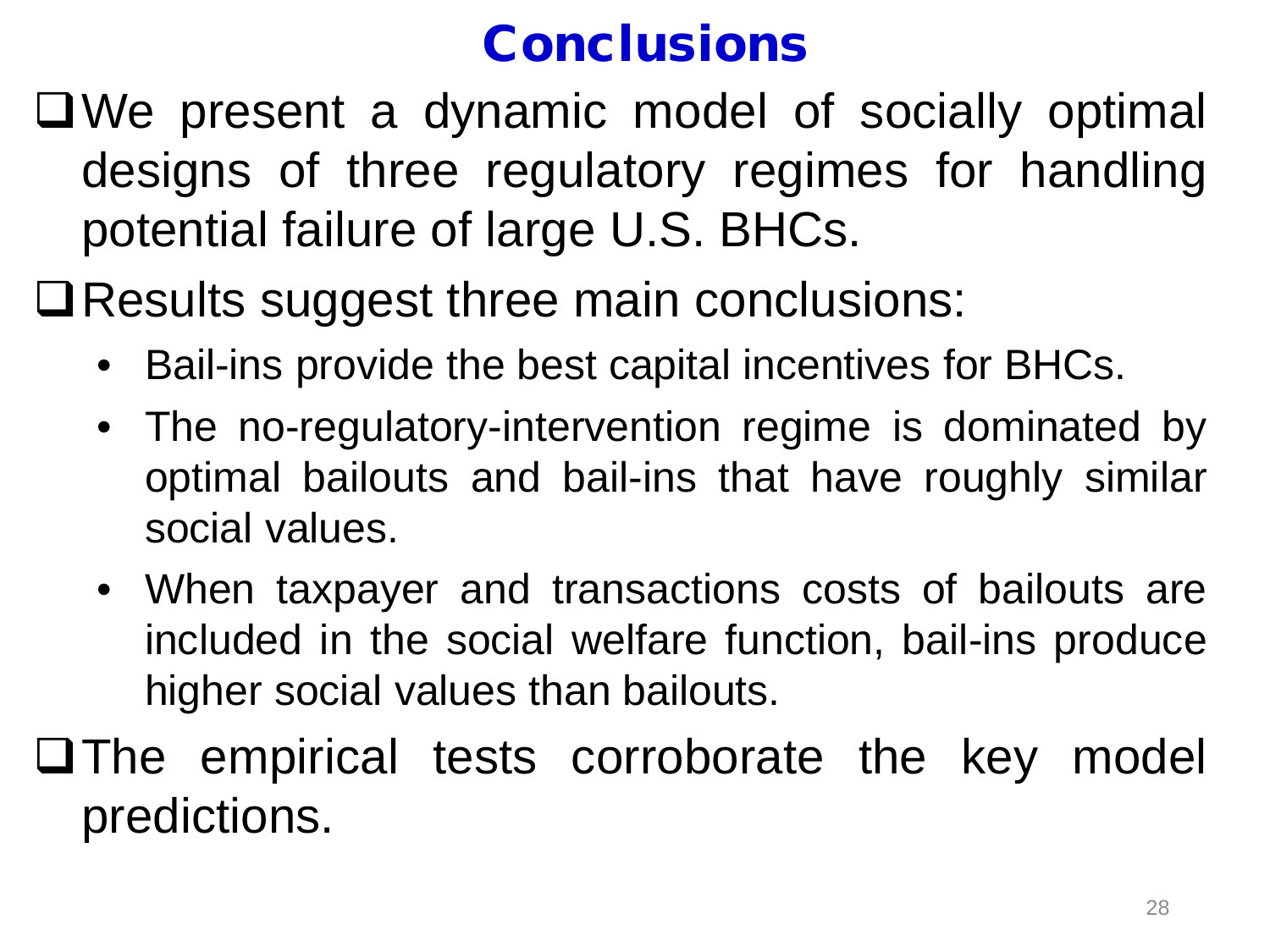#### **Conclusions**

We present a dynamic model of socially optimal designs of three regulatory regimes for handling potential failure of large U.S. BHCs.

Results suggest three main conclusions:

- Bail-ins provide the best capital incentives for BHCs.
- The no-regulatory-intervention regime is dominated by optimal bailouts and bail-ins that have roughly similar social values.
- When taxpayer and transactions costs of bailouts are included in the social welfare function, bail-ins produce higher social values than bailouts.
- The empirical tests corroborate the key model predictions.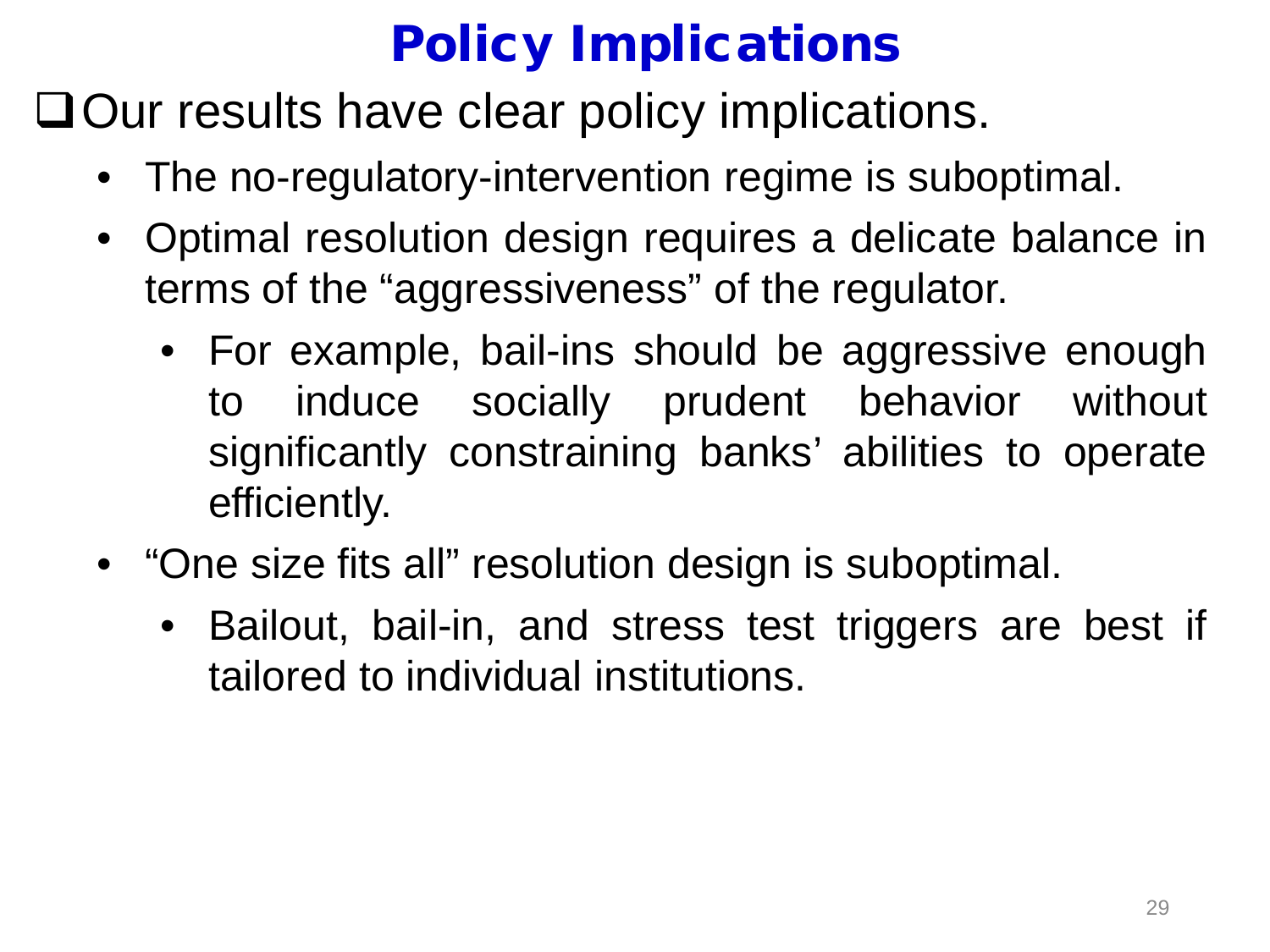## Policy Implications

 $\Box$  Our results have clear policy implications.

- The no-regulatory-intervention regime is suboptimal.
- Optimal resolution design requires a delicate balance in terms of the "aggressiveness" of the regulator.
	- For example, bail-ins should be aggressive enough to induce socially prudent behavior without significantly constraining banks' abilities to operate efficiently.
- "One size fits all" resolution design is suboptimal.
	- Bailout, bail-in, and stress test triggers are best if tailored to individual institutions.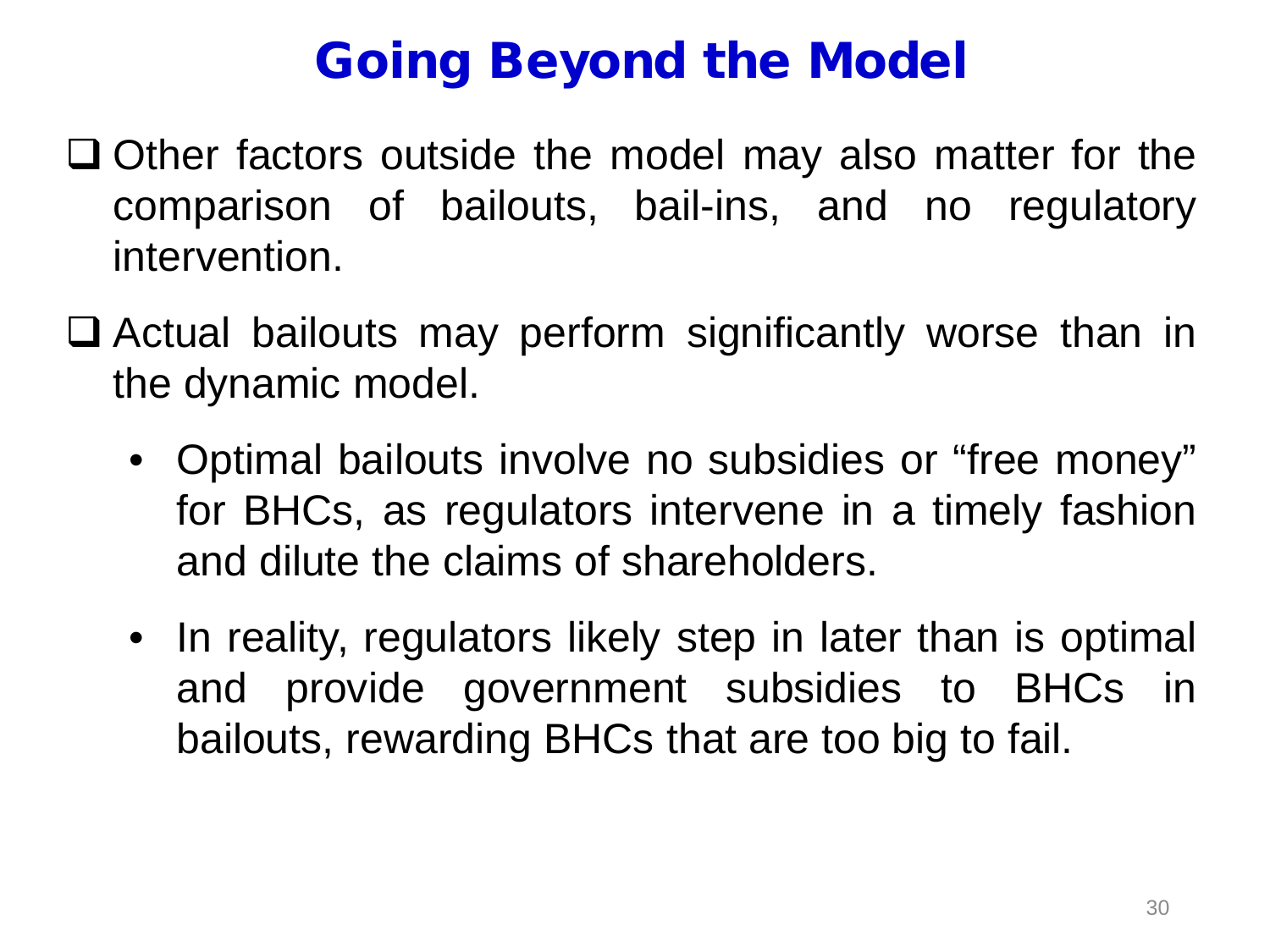## Going Beyond the Model

- $\Box$  Other factors outside the model may also matter for the comparison of bailouts, bail-ins, and no regulatory intervention.
- $\Box$  Actual bailouts may perform significantly worse than in the dynamic model.
	- Optimal bailouts involve no subsidies or "free money" for BHCs, as regulators intervene in a timely fashion and dilute the claims of shareholders.
	- In reality, regulators likely step in later than is optimal and provide government subsidies to BHCs in bailouts, rewarding BHCs that are too big to fail.